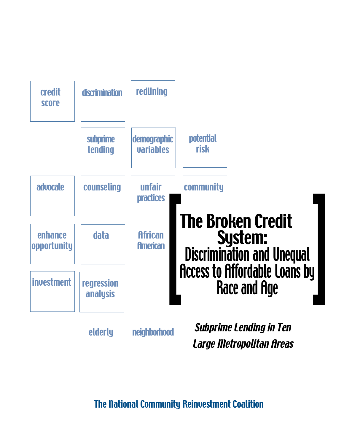

**The National Community Reinvestment Coalition**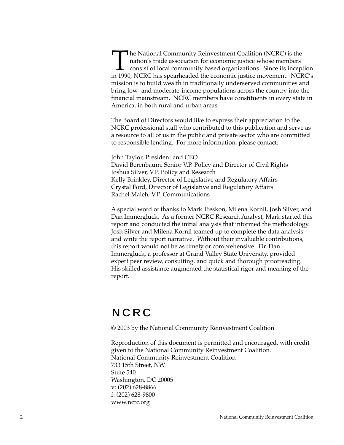**The National Community Reinvestment Coalition (NCRC) is the** nation's trade association for economic justice whose members consist of local community based organizations. Since its inception in 1990, NCRC has spearheaded the economic justice movement. NCRC's mission is to build wealth in traditionally underserved communities and bring low- and moderate-income populations across the country into the financial mainstream. NCRC members have constituents in every state in America, in both rural and urban areas.

The Board of Directors would like to express their appreciation to the NCRC professional staff who contributed to this publication and serve as a resource to all of us in the public and private sector who are committed to responsible lending. For more information, please contact:

John Taylor, President and CEO David Berenbaum, Senior V.P. Policy and Director of Civil Rights Joshua Silver, V.P. Policy and Research Kelly Brinkley, Director of Legislative and Regulatory Affairs Crystal Ford, Director of Legislative and Regulatory Affairs Rachel Maleh, V.P. Communications

A special word of thanks to Mark Treskon, Milena Kornil, Josh Silver, and Dan Immergluck. As a former NCRC Research Analyst, Mark started this report and conducted the initial analysis that informed the methodology. Josh Silver and Milena Kornil teamed up to complete the data analysis and write the report narrative. Without their invaluable contributions, this report would not be as timely or comprehensive. Dr. Dan Immergluck, a professor at Grand Valley State University, provided expert peer review, consulting, and quick and thorough proofreading. His skilled assistance augmented the statistical rigor and meaning of the report.

# NCRC

© 2003 by the National Community Reinvestment Coalition

Reproduction of this document is permitted and encouraged, with credit given to the National Community Reinvestment Coalition. National Community Reinvestment Coalition 733 15th Street, NW Suite 540 Washington, DC 20005 v: (202) 628-8866 f: (202) 628-9800 www.ncrc.org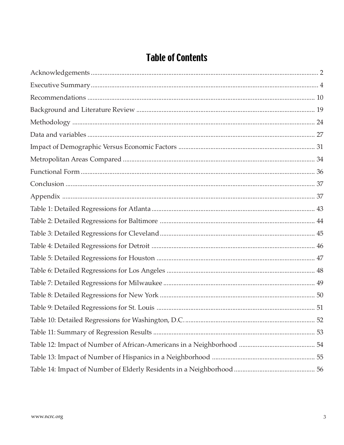# **Table of Contents**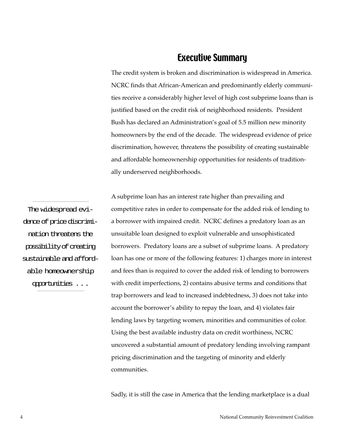# Executive Summary

The credit system is broken and discrimination is widespread in America. NCRC finds that African-American and predominantly elderly communities receive a considerably higher level of high cost subprime loans than is justified based on the credit risk of neighborhood residents. President Bush has declared an Administration's goal of 5.5 million new minority homeowners by the end of the decade. The widespread evidence of price discrimination, however, threatens the possibility of creating sustainable and affordable homeownership opportunities for residents of traditionally underserved neighborhoods.

The widespread evidence of price discrimination threatens the possibility of creating sustainable and affordable homeownership opportunities . . .

A subprime loan has an interest rate higher than prevailing and competitive rates in order to compensate for the added risk of lending to a borrower with impaired credit. NCRC defines a predatory loan as an unsuitable loan designed to exploit vulnerable and unsophisticated borrowers. Predatory loans are a subset of subprime loans. A predatory loan has one or more of the following features: 1) charges more in interest and fees than is required to cover the added risk of lending to borrowers with credit imperfections, 2) contains abusive terms and conditions that trap borrowers and lead to increased indebtedness, 3) does not take into account the borrower's ability to repay the loan, and 4) violates fair lending laws by targeting women, minorities and communities of color. Using the best available industry data on credit worthiness, NCRC uncovered a substantial amount of predatory lending involving rampant pricing discrimination and the targeting of minority and elderly communities.

Sadly, it is still the case in America that the lending marketplace is a dual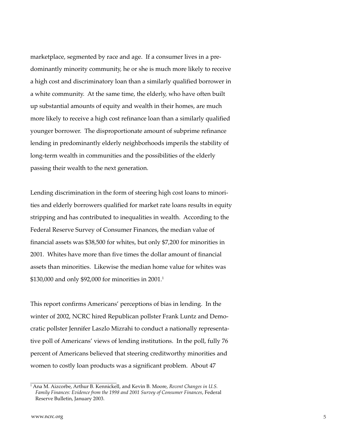marketplace, segmented by race and age. If a consumer lives in a predominantly minority community, he or she is much more likely to receive a high cost and discriminatory loan than a similarly qualified borrower in a white community. At the same time, the elderly, who have often built up substantial amounts of equity and wealth in their homes, are much more likely to receive a high cost refinance loan than a similarly qualified younger borrower. The disproportionate amount of subprime refinance lending in predominantly elderly neighborhoods imperils the stability of long-term wealth in communities and the possibilities of the elderly passing their wealth to the next generation.

Lending discrimination in the form of steering high cost loans to minorities and elderly borrowers qualified for market rate loans results in equity stripping and has contributed to inequalities in wealth. According to the Federal Reserve Survey of Consumer Finances, the median value of financial assets was \$38,500 for whites, but only \$7,200 for minorities in 2001. Whites have more than five times the dollar amount of financial assets than minorities. Likewise the median home value for whites was \$130,000 and only \$92,000 for minorities in 2001.1

This report confirms Americans' perceptions of bias in lending. In the winter of 2002, NCRC hired Republican pollster Frank Luntz and Democratic pollster Jennifer Laszlo Mizrahi to conduct a nationally representative poll of Americans' views of lending institutions. In the poll, fully 76 percent of Americans believed that steering creditworthy minorities and women to costly loan products was a significant problem. About 47

<sup>1</sup> Ana M. Aizcorbe, Arthur B. Kennickell, and Kevin B. Moore, *Recent Changes in U.S. Family Finances: Evidence from the 1998 and 2001 Survey of Consumer Finances*, Federal Reserve Bulletin, January 2003.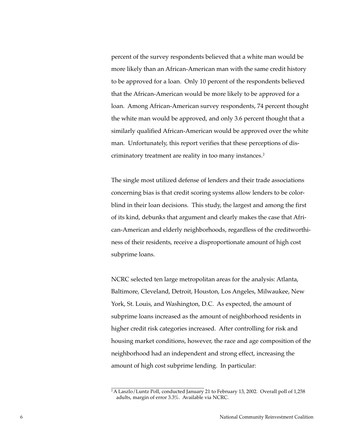percent of the survey respondents believed that a white man would be more likely than an African-American man with the same credit history to be approved for a loan. Only 10 percent of the respondents believed that the African-American would be more likely to be approved for a loan. Among African-American survey respondents, 74 percent thought the white man would be approved, and only 3.6 percent thought that a similarly qualified African-American would be approved over the white man. Unfortunately, this report verifies that these perceptions of discriminatory treatment are reality in too many instances.2

The single most utilized defense of lenders and their trade associations concerning bias is that credit scoring systems allow lenders to be colorblind in their loan decisions. This study, the largest and among the first of its kind, debunks that argument and clearly makes the case that African-American and elderly neighborhoods, regardless of the creditworthiness of their residents, receive a disproportionate amount of high cost subprime loans.

NCRC selected ten large metropolitan areas for the analysis: Atlanta, Baltimore, Cleveland, Detroit, Houston, Los Angeles, Milwaukee, New York, St. Louis, and Washington, D.C. As expected, the amount of subprime loans increased as the amount of neighborhood residents in higher credit risk categories increased. After controlling for risk and housing market conditions, however, the race and age composition of the neighborhood had an independent and strong effect, increasing the amount of high cost subprime lending. In particular:

<sup>2</sup> A Laszlo/Luntz Poll, conducted January 21 to February 13, 2002. Overall poll of 1,258 adults, margin of error 3.3%. Available via NCRC.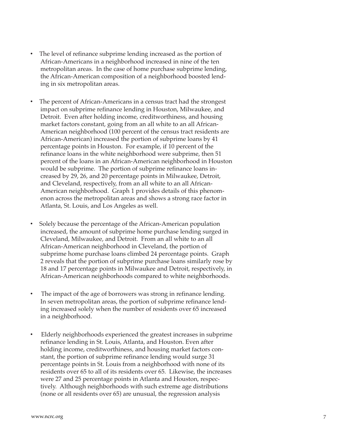- The level of refinance subprime lending increased as the portion of African-Americans in a neighborhood increased in nine of the ten metropolitan areas. In the case of home purchase subprime lending, the African-American composition of a neighborhood boosted lending in six metropolitan areas.
- The percent of African-Americans in a census tract had the strongest impact on subprime refinance lending in Houston, Milwaukee, and Detroit. Even after holding income, creditworthiness, and housing market factors constant, going from an all white to an all African-American neighborhood (100 percent of the census tract residents are African-American) increased the portion of subprime loans by 41 percentage points in Houston. For example, if 10 percent of the refinance loans in the white neighborhood were subprime, then 51 percent of the loans in an African-American neighborhood in Houston would be subprime. The portion of subprime refinance loans increased by 29, 26, and 20 percentage points in Milwaukee, Detroit, and Cleveland, respectively, from an all white to an all African-American neighborhood. Graph 1 provides details of this phenomenon across the metropolitan areas and shows a strong race factor in Atlanta, St. Louis, and Los Angeles as well.
- Solely because the percentage of the African-American population increased, the amount of subprime home purchase lending surged in Cleveland, Milwaukee, and Detroit. From an all white to an all African-American neighborhood in Cleveland, the portion of subprime home purchase loans climbed 24 percentage points. Graph 2 reveals that the portion of subprime purchase loans similarly rose by 18 and 17 percentage points in Milwaukee and Detroit, respectively, in African-American neighborhoods compared to white neighborhoods.
- The impact of the age of borrowers was strong in refinance lending. In seven metropolitan areas, the portion of subprime refinance lending increased solely when the number of residents over 65 increased in a neighborhood.
- Elderly neighborhoods experienced the greatest increases in subprime refinance lending in St. Louis, Atlanta, and Houston. Even after holding income, creditworthiness, and housing market factors constant, the portion of subprime refinance lending would surge 31 percentage points in St. Louis from a neighborhood with none of its residents over 65 to all of its residents over 65. Likewise, the increases were 27 and 25 percentage points in Atlanta and Houston, respectively. Although neighborhoods with such extreme age distributions (none or all residents over 65) are unusual, the regression analysis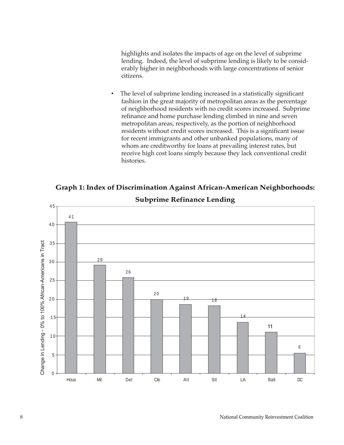<span id="page-7-0"></span>highlights and isolates the impacts of age on the level of subprime lending. Indeed, the level of subprime lending is likely to be considerably higher in neighborhoods with large concentrations of senior citizens.

• The level of subprime lending increased in a statistically significant fashion in the great majority of metropolitan areas as the percentage of neighborhood residents with no credit scores increased. Subprime refinance and home purchase lending climbed in nine and seven metropolitan areas, respectively, as the portion of neighborhood residents without credit scores increased. This is a significant issue for recent immigrants and other unbanked populations, many of whom are creditworthy for loans at prevailing interest rates, but receive high cost loans simply because they lack conventional credit histories.



# **Subprime Refinance Lending**

**Graph 1: Index of Discrimination Against African-American Neighborhoods:**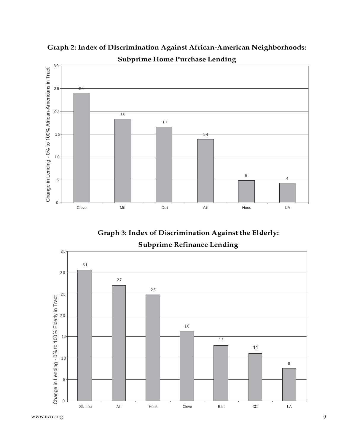

**Graph 2: Index of Discrimination Against African-American Neighborhoods: Subprime Home Purchase Lending**

**Graph 3: Index of Discrimination Against the Elderly: Subprime Refinance Lending**



www.ncrc.org 9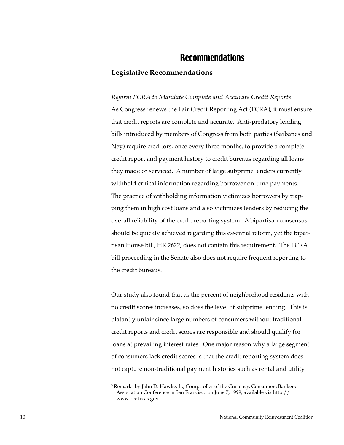# Recommendations

## <span id="page-9-0"></span>**Legislative Recommendations**

*Reform FCRA to Mandate Complete and Accurate Credit Reports* As Congress renews the Fair Credit Reporting Act (FCRA), it must ensure that credit reports are complete and accurate. Anti-predatory lending bills introduced by members of Congress from both parties (Sarbanes and Ney) require creditors, once every three months, to provide a complete credit report and payment history to credit bureaus regarding all loans they made or serviced. A number of large subprime lenders currently withhold critical information regarding borrower on-time payments.<sup>3</sup> The practice of withholding information victimizes borrowers by trapping them in high cost loans and also victimizes lenders by reducing the overall reliability of the credit reporting system. A bipartisan consensus should be quickly achieved regarding this essential reform, yet the bipartisan House bill, HR 2622, does not contain this requirement. The FCRA bill proceeding in the Senate also does not require frequent reporting to the credit bureaus.

Our study also found that as the percent of neighborhood residents with no credit scores increases, so does the level of subprime lending. This is blatantly unfair since large numbers of consumers without traditional credit reports and credit scores are responsible and should qualify for loans at prevailing interest rates. One major reason why a large segment of consumers lack credit scores is that the credit reporting system does not capture non-traditional payment histories such as rental and utility

<sup>3</sup> Remarks by John D. Hawke, Jr., Comptroller of the Currency, Consumers Bankers Association Conference in San Francisco on June 7, 1999, available via http:// www.occ.treas.gov.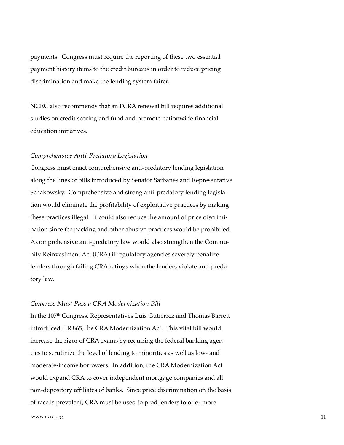payments. Congress must require the reporting of these two essential payment history items to the credit bureaus in order to reduce pricing discrimination and make the lending system fairer.

NCRC also recommends that an FCRA renewal bill requires additional studies on credit scoring and fund and promote nationwide financial education initiatives.

#### *Comprehensive Anti-Predatory Legislation*

Congress must enact comprehensive anti-predatory lending legislation along the lines of bills introduced by Senator Sarbanes and Representative Schakowsky. Comprehensive and strong anti-predatory lending legislation would eliminate the profitability of exploitative practices by making these practices illegal. It could also reduce the amount of price discrimination since fee packing and other abusive practices would be prohibited. A comprehensive anti-predatory law would also strengthen the Community Reinvestment Act (CRA) if regulatory agencies severely penalize lenders through failing CRA ratings when the lenders violate anti-predatory law.

#### *Congress Must Pass a CRA Modernization Bill*

In the 107<sup>th</sup> Congress, Representatives Luis Gutierrez and Thomas Barrett introduced HR 865, the CRA Modernization Act. This vital bill would increase the rigor of CRA exams by requiring the federal banking agencies to scrutinize the level of lending to minorities as well as low- and moderate-income borrowers. In addition, the CRA Modernization Act would expand CRA to cover independent mortgage companies and all non-depository affiliates of banks. Since price discrimination on the basis of race is prevalent, CRA must be used to prod lenders to offer more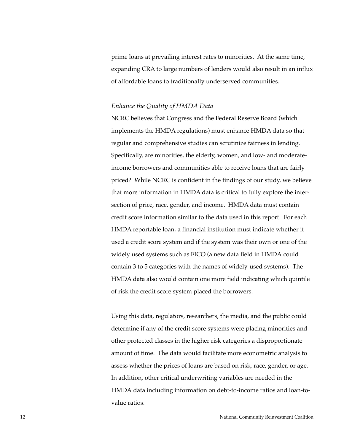prime loans at prevailing interest rates to minorities. At the same time, expanding CRA to large numbers of lenders would also result in an influx of affordable loans to traditionally underserved communities.

#### *Enhance the Quality of HMDA Data*

NCRC believes that Congress and the Federal Reserve Board (which implements the HMDA regulations) must enhance HMDA data so that regular and comprehensive studies can scrutinize fairness in lending. Specifically, are minorities, the elderly, women, and low- and moderateincome borrowers and communities able to receive loans that are fairly priced? While NCRC is confident in the findings of our study, we believe that more information in HMDA data is critical to fully explore the intersection of price, race, gender, and income. HMDA data must contain credit score information similar to the data used in this report. For each HMDA reportable loan, a financial institution must indicate whether it used a credit score system and if the system was their own or one of the widely used systems such as FICO (a new data field in HMDA could contain 3 to 5 categories with the names of widely-used systems). The HMDA data also would contain one more field indicating which quintile of risk the credit score system placed the borrowers.

Using this data, regulators, researchers, the media, and the public could determine if any of the credit score systems were placing minorities and other protected classes in the higher risk categories a disproportionate amount of time. The data would facilitate more econometric analysis to assess whether the prices of loans are based on risk, race, gender, or age. In addition, other critical underwriting variables are needed in the HMDA data including information on debt-to-income ratios and loan-tovalue ratios.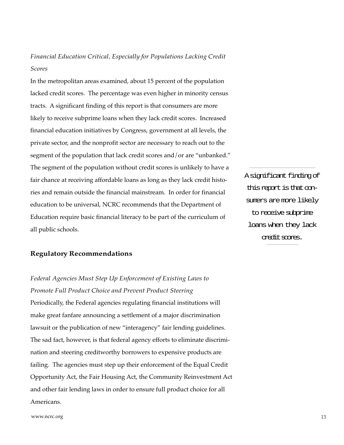*Financial Education Critical, Especially for Populations Lacking Credit Scores*

In the metropolitan areas examined, about 15 percent of the population lacked credit scores. The percentage was even higher in minority census tracts. A significant finding of this report is that consumers are more likely to receive subprime loans when they lack credit scores. Increased financial education initiatives by Congress, government at all levels, the private sector, and the nonprofit sector are necessary to reach out to the segment of the population that lack credit scores and/or are "unbanked." The segment of the population without credit scores is unlikely to have a fair chance at receiving affordable loans as long as they lack credit histories and remain outside the financial mainstream. In order for financial education to be universal, NCRC recommends that the Department of Education require basic financial literacy to be part of the curriculum of all public schools.

A significant finding of this report is that consumers are more likely to receive subprime loans when they lack credit scores.

#### **Regulatory Recommendations**

*Federal Agencies Must Step Up Enforcement of Existing Laws to Promote Full Product Choice and Prevent Product Steering* Periodically, the Federal agencies regulating financial institutions will make great fanfare announcing a settlement of a major discrimination lawsuit or the publication of new "interagency" fair lending guidelines. The sad fact, however, is that federal agency efforts to eliminate discrimination and steering creditworthy borrowers to expensive products are failing. The agencies must step up their enforcement of the Equal Credit Opportunity Act, the Fair Housing Act, the Community Reinvestment Act and other fair lending laws in order to ensure full product choice for all Americans.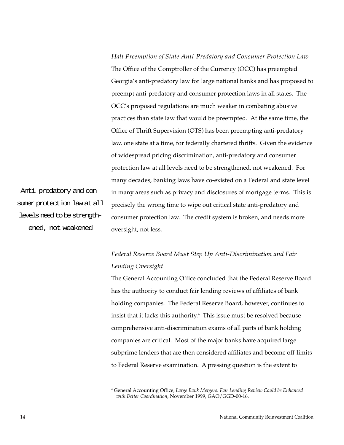*Halt Preemption of State Anti-Predatory and Consumer Protection Law* The Office of the Comptroller of the Currency (OCC) has preempted Georgia's anti-predatory law for large national banks and has proposed to preempt anti-predatory and consumer protection laws in all states. The OCC's proposed regulations are much weaker in combating abusive practices than state law that would be preempted. At the same time, the Office of Thrift Supervision (OTS) has been preempting anti-predatory law, one state at a time, for federally chartered thrifts. Given the evidence of widespread pricing discrimination, anti-predatory and consumer protection law at all levels need to be strengthened, not weakened. For many decades, banking laws have co-existed on a Federal and state level in many areas such as privacy and disclosures of mortgage terms. This is precisely the wrong time to wipe out critical state anti-predatory and consumer protection law. The credit system is broken, and needs more oversight, not less.

Anti-predatory and consumer protection law at all levels need to be strengthened, not weakened

# *Federal Reserve Board Must Step Up Anti-Discrimination and Fair Lending Oversight*

The General Accounting Office concluded that the Federal Reserve Board has the authority to conduct fair lending reviews of affiliates of bank holding companies. The Federal Reserve Board, however, continues to insist that it lacks this authority. $^4\,$  This issue must be resolved because comprehensive anti-discrimination exams of all parts of bank holding companies are critical. Most of the major banks have acquired large subprime lenders that are then considered affiliates and become off-limits to Federal Reserve examination. A pressing question is the extent to

<sup>4</sup> General Accounting Office, *Large Bank Mergers: Fair Lending Review Could be Enhanced with Better Coordination*, November 1999, GAO/GGD-00-16.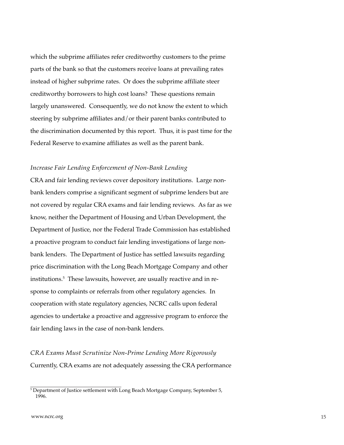which the subprime affiliates refer creditworthy customers to the prime parts of the bank so that the customers receive loans at prevailing rates instead of higher subprime rates. Or does the subprime affiliate steer creditworthy borrowers to high cost loans? These questions remain largely unanswered. Consequently, we do not know the extent to which steering by subprime affiliates and/or their parent banks contributed to the discrimination documented by this report. Thus, it is past time for the Federal Reserve to examine affiliates as well as the parent bank.

#### *Increase Fair Lending Enforcement of Non-Bank Lending*

CRA and fair lending reviews cover depository institutions. Large nonbank lenders comprise a significant segment of subprime lenders but are not covered by regular CRA exams and fair lending reviews. As far as we know, neither the Department of Housing and Urban Development, the Department of Justice, nor the Federal Trade Commission has established a proactive program to conduct fair lending investigations of large nonbank lenders. The Department of Justice has settled lawsuits regarding price discrimination with the Long Beach Mortgage Company and other institutions.<sup>5</sup> These lawsuits, however, are usually reactive and in response to complaints or referrals from other regulatory agencies. In cooperation with state regulatory agencies, NCRC calls upon federal agencies to undertake a proactive and aggressive program to enforce the fair lending laws in the case of non-bank lenders.

*CRA Exams Must Scrutinize Non-Prime Lending More Rigorously* Currently, CRA exams are not adequately assessing the CRA performance

<sup>&</sup>lt;sup>5</sup> Department of Justice settlement with Long Beach Mortgage Company, September 5, 1996.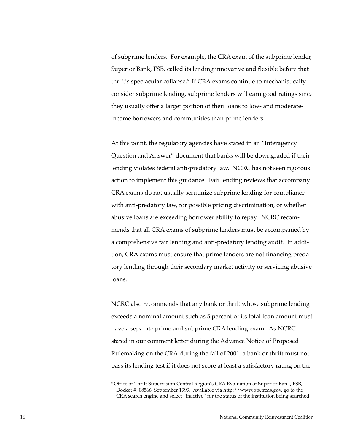of subprime lenders. For example, the CRA exam of the subprime lender, Superior Bank, FSB, called its lending innovative and flexible before that thrift's spectacular collapse.6 If CRA exams continue to mechanistically consider subprime lending, subprime lenders will earn good ratings since they usually offer a larger portion of their loans to low- and moderateincome borrowers and communities than prime lenders.

At this point, the regulatory agencies have stated in an "Interagency Question and Answer" document that banks will be downgraded if their lending violates federal anti-predatory law. NCRC has not seen rigorous action to implement this guidance. Fair lending reviews that accompany CRA exams do not usually scrutinize subprime lending for compliance with anti-predatory law, for possible pricing discrimination, or whether abusive loans are exceeding borrower ability to repay. NCRC recommends that all CRA exams of subprime lenders must be accompanied by a comprehensive fair lending and anti-predatory lending audit. In addition, CRA exams must ensure that prime lenders are not financing predatory lending through their secondary market activity or servicing abusive loans.

NCRC also recommends that any bank or thrift whose subprime lending exceeds a nominal amount such as 5 percent of its total loan amount must have a separate prime and subprime CRA lending exam. As NCRC stated in our comment letter during the Advance Notice of Proposed Rulemaking on the CRA during the fall of 2001, a bank or thrift must not pass its lending test if it does not score at least a satisfactory rating on the

<sup>6</sup> Office of Thrift Supervision Central Region's CRA Evaluation of Superior Bank, FSB, Docket #: 08566, September 1999. Available via http://www.ots.treas.gov, go to the CRA search engine and select "inactive" for the status of the institution being searched.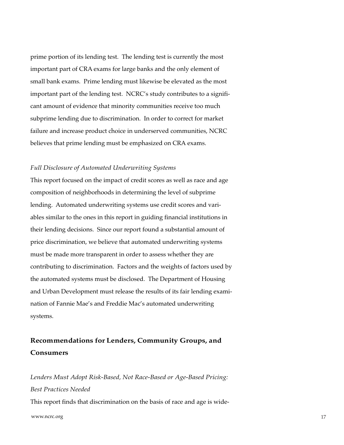prime portion of its lending test. The lending test is currently the most important part of CRA exams for large banks and the only element of small bank exams. Prime lending must likewise be elevated as the most important part of the lending test. NCRC's study contributes to a significant amount of evidence that minority communities receive too much subprime lending due to discrimination. In order to correct for market failure and increase product choice in underserved communities, NCRC believes that prime lending must be emphasized on CRA exams.

#### *Full Disclosure of Automated Underwriting Systems*

This report focused on the impact of credit scores as well as race and age composition of neighborhoods in determining the level of subprime lending. Automated underwriting systems use credit scores and variables similar to the ones in this report in guiding financial institutions in their lending decisions. Since our report found a substantial amount of price discrimination, we believe that automated underwriting systems must be made more transparent in order to assess whether they are contributing to discrimination. Factors and the weights of factors used by the automated systems must be disclosed. The Department of Housing and Urban Development must release the results of its fair lending examination of Fannie Mae's and Freddie Mac's automated underwriting systems.

# **Recommendations for Lenders, Community Groups, and Consumers**

www.ncrc.org  $17$ *Lenders Must Adopt Risk-Based, Not Race-Based or Age-Based Pricing: Best Practices Needed* This report finds that discrimination on the basis of race and age is wide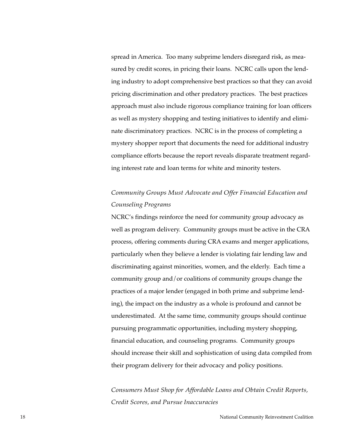spread in America. Too many subprime lenders disregard risk, as measured by credit scores, in pricing their loans. NCRC calls upon the lending industry to adopt comprehensive best practices so that they can avoid pricing discrimination and other predatory practices. The best practices approach must also include rigorous compliance training for loan officers as well as mystery shopping and testing initiatives to identify and eliminate discriminatory practices. NCRC is in the process of completing a mystery shopper report that documents the need for additional industry compliance efforts because the report reveals disparate treatment regarding interest rate and loan terms for white and minority testers.

# *Community Groups Must Advocate and Offer Financial Education and Counseling Programs*

NCRC's findings reinforce the need for community group advocacy as well as program delivery. Community groups must be active in the CRA process, offering comments during CRA exams and merger applications, particularly when they believe a lender is violating fair lending law and discriminating against minorities, women, and the elderly. Each time a community group and/or coalitions of community groups change the practices of a major lender (engaged in both prime and subprime lending), the impact on the industry as a whole is profound and cannot be underestimated. At the same time, community groups should continue pursuing programmatic opportunities, including mystery shopping, financial education, and counseling programs. Community groups should increase their skill and sophistication of using data compiled from their program delivery for their advocacy and policy positions.

*Consumers Must Shop for Affordable Loans and Obtain Credit Reports, Credit Scores, and Pursue Inaccuracies*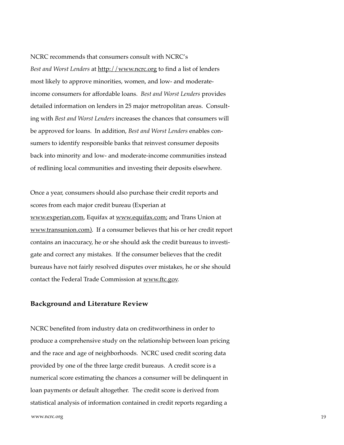#### <span id="page-18-0"></span>NCRC recommends that consumers consult with NCRC's

*Best and Worst Lenders* at http://www.ncrc.org to find a list of lenders most likely to approve minorities, women, and low- and moderateincome consumers for affordable loans. *Best and Worst Lenders* provides detailed information on lenders in 25 major metropolitan areas. Consulting with *Best and Worst Lenders* increases the chances that consumers will be approved for loans. In addition, *Best and Worst Lenders* enables consumers to identify responsible banks that reinvest consumer deposits back into minority and low- and moderate-income communities instead of redlining local communities and investing their deposits elsewhere.

Once a year, consumers should also purchase their credit reports and scores from each major credit bureau (Experian at www.experian.com, Equifax at www.equifax.com; and Trans Union at www.transunion.com). If a consumer believes that his or her credit report contains an inaccuracy, he or she should ask the credit bureaus to investigate and correct any mistakes. If the consumer believes that the credit bureaus have not fairly resolved disputes over mistakes, he or she should contact the Federal Trade Commission at www.ftc.gov.

#### **Background and Literature Review**

NCRC benefited from industry data on creditworthiness in order to produce a comprehensive study on the relationship between loan pricing and the race and age of neighborhoods. NCRC used credit scoring data provided by one of the three large credit bureaus. A credit score is a numerical score estimating the chances a consumer will be delinquent in loan payments or default altogether. The credit score is derived from statistical analysis of information contained in credit reports regarding a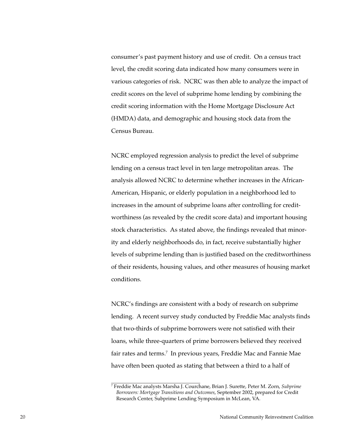consumer's past payment history and use of credit. On a census tract level, the credit scoring data indicated how many consumers were in various categories of risk. NCRC was then able to analyze the impact of credit scores on the level of subprime home lending by combining the credit scoring information with the Home Mortgage Disclosure Act (HMDA) data, and demographic and housing stock data from the Census Bureau.

NCRC employed regression analysis to predict the level of subprime lending on a census tract level in ten large metropolitan areas. The analysis allowed NCRC to determine whether increases in the African-American, Hispanic, or elderly population in a neighborhood led to increases in the amount of subprime loans after controlling for creditworthiness (as revealed by the credit score data) and important housing stock characteristics. As stated above, the findings revealed that minority and elderly neighborhoods do, in fact, receive substantially higher levels of subprime lending than is justified based on the creditworthiness of their residents, housing values, and other measures of housing market conditions.

NCRC's findings are consistent with a body of research on subprime lending. A recent survey study conducted by Freddie Mac analysts finds that two-thirds of subprime borrowers were not satisfied with their loans, while three-quarters of prime borrowers believed they received fair rates and terms.<sup>7</sup> In previous years, Freddie Mac and Fannie Mae have often been quoted as stating that between a third to a half of

<sup>7</sup> Freddie Mac analysts Marsha J. Courchane, Brian J. Surette, Peter M. Zorn, *Subprime Borrowers: Mortgage Transitions and Outcomes*, September 2002, prepared for Credit Research Center, Subprime Lending Symposium in McLean, VA.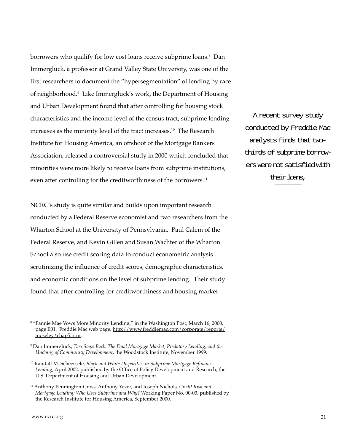borrowers who qualify for low cost loans receive subprime loans. $^8$  Dan Immergluck, a professor at Grand Valley State University, was one of the first researchers to document the "hypersegmentation" of lending by race of neighborhood.<sup>9</sup> Like Immergluck's work, the Department of Housing and Urban Development found that after controlling for housing stock characteristics and the income level of the census tract, subprime lending increases as the minority level of the tract increases.10 The Research Institute for Housing America, an offshoot of the Mortgage Bankers Association, released a controversial study in 2000 which concluded that minorities were more likely to receive loans from subprime institutions, even after controlling for the creditworthiness of the borrowers.<sup>11</sup>

NCRC's study is quite similar and builds upon important research conducted by a Federal Reserve economist and two researchers from the Wharton School at the University of Pennsylvania. Paul Calem of the Federal Reserve, and Kevin Gillen and Susan Wachter of the Wharton School also use credit scoring data to conduct econometric analysis scrutinizing the influence of credit scores, demographic characteristics, and economic conditions on the level of subprime lending. Their study found that after controlling for creditworthiness and housing market

A recent survey study conducted by Freddie Mac analysts finds that twothirds of subprime borrowers were not satisfied with their loans,

 $^{\rm 8}$  "Fannie Mae Vows More Minority Lending," in the Washington Post, March 16, 2000, page E01. Freddie Mac web page, http://www.freddiemac.com/corporate/reports/ moseley/chap5.htm.

<sup>9</sup> Dan Immergluck, *Two Steps Back: The Dual Mortgage Market, Predatory Lending, and the Undoing of Community Development*, the Woodstock Institute, November 1999.

<sup>10</sup> Randall M. Scheessele, *Black and White Disparities in Subprime Mortgage Refinance Lending*, April 2002, published by the Office of Policy Development and Research, the U.S. Department of Housing and Urban Development.

<sup>11</sup> Anthony Pennington-Cross, Anthony Yezer, and Joseph Nichols, *Credit Risk and Mortgage Lending: Who Uses Subprime and Why*? Working Paper No. 00-03, published by the Research Institute for Housing America, September 2000.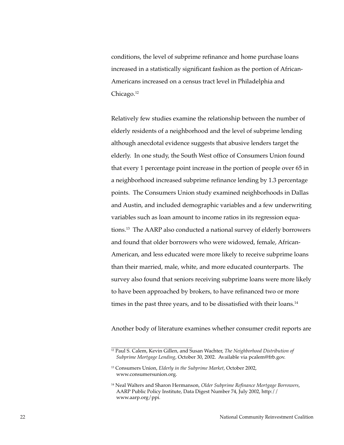conditions, the level of subprime refinance and home purchase loans increased in a statistically significant fashion as the portion of African-Americans increased on a census tract level in Philadelphia and Chicago.<sup>12</sup>

Relatively few studies examine the relationship between the number of elderly residents of a neighborhood and the level of subprime lending although anecdotal evidence suggests that abusive lenders target the elderly. In one study, the South West office of Consumers Union found that every 1 percentage point increase in the portion of people over 65 in a neighborhood increased subprime refinance lending by 1.3 percentage points. The Consumers Union study examined neighborhoods in Dallas and Austin, and included demographic variables and a few underwriting variables such as loan amount to income ratios in its regression equations.13 The AARP also conducted a national survey of elderly borrowers and found that older borrowers who were widowed, female, African-American, and less educated were more likely to receive subprime loans than their married, male, white, and more educated counterparts. The survey also found that seniors receiving subprime loans were more likely to have been approached by brokers, to have refinanced two or more times in the past three years, and to be dissatisfied with their loans.<sup>14</sup>

Another body of literature examines whether consumer credit reports are

<sup>&</sup>lt;sup>12</sup> Paul S. Calem, Kevin Gillen, and Susan Wachter, *The Neighborhood Distribution of Subprime Mortgage Lending*, October 30, 2002. Available via pcalem@frb.gov.

<sup>13</sup> Consumers Union, *Elderly in the Subprime Market*, October 2002, www.consumersunion.org.

<sup>14</sup> Neal Walters and Sharon Hermanson, *Older Subprime Refinance Mortgage Borrowers*, AARP Public Policy Institute, Data Digest Number 74, July 2002, http:// www.aarp.org/ppi.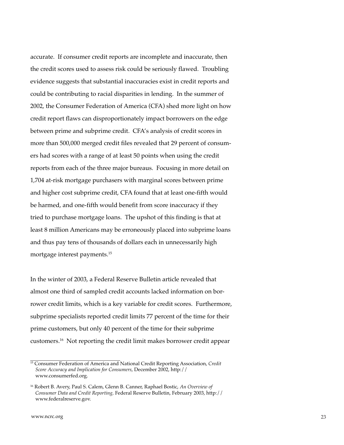accurate. If consumer credit reports are incomplete and inaccurate, then the credit scores used to assess risk could be seriously flawed. Troubling evidence suggests that substantial inaccuracies exist in credit reports and could be contributing to racial disparities in lending. In the summer of 2002, the Consumer Federation of America (CFA) shed more light on how credit report flaws can disproportionately impact borrowers on the edge between prime and subprime credit. CFA's analysis of credit scores in more than 500,000 merged credit files revealed that 29 percent of consumers had scores with a range of at least 50 points when using the credit reports from each of the three major bureaus. Focusing in more detail on 1,704 at-risk mortgage purchasers with marginal scores between prime and higher cost subprime credit, CFA found that at least one-fifth would be harmed, and one-fifth would benefit from score inaccuracy if they tried to purchase mortgage loans. The upshot of this finding is that at least 8 million Americans may be erroneously placed into subprime loans and thus pay tens of thousands of dollars each in unnecessarily high mortgage interest payments.15

In the winter of 2003, a Federal Reserve Bulletin article revealed that almost one third of sampled credit accounts lacked information on borrower credit limits, which is a key variable for credit scores. Furthermore, subprime specialists reported credit limits 77 percent of the time for their prime customers, but only 40 percent of the time for their subprime customers.16 Not reporting the credit limit makes borrower credit appear

<sup>15</sup> Consumer Federation of America and National Credit Reporting Association, *Credit Score Accuracy and Implication for Consumers*, December 2002, http:// www.consumerfed.org.

<sup>16</sup> Robert B. Avery, Paul S. Calem, Glenn B. Canner, Raphael Bostic, *An Overview of Consumer Data and Credit Reporting,* Federal Reserve Bulletin, February 2003, http:// www.federalreserve.gov.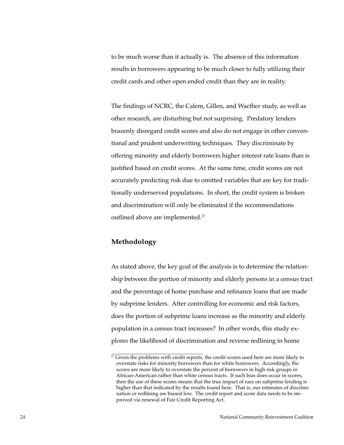<span id="page-23-0"></span>to be much worse than it actually is. The absence of this information results in borrowers appearing to be much closer to fully utilizing their credit cards and other open ended credit than they are in reality.

The findings of NCRC, the Calem, Gillen, and Wacther study, as well as other research, are disturbing but not surprising. Predatory lenders brazenly disregard credit scores and also do not engage in other conventional and prudent underwriting techniques. They discriminate by offering minority and elderly borrowers higher interest rate loans than is justified based on credit scores. At the same time, credit scores are not accurately predicting risk due to omitted variables that are key for traditionally underserved populations. In short, the credit system is broken and discrimination will only be eliminated if the recommendations outlined above are implemented.<sup>17</sup>

## **Methodology**

As stated above, the key goal of the analysis is to determine the relationship between the portion of minority and elderly persons in a census tract and the percentage of home purchase and refinance loans that are made by subprime lenders. After controlling for economic and risk factors, does the portion of subprime loans increase as the minority and elderly population in a census tract increases? In other words, this study explores the likelihood of discrimination and reverse redlining in home

 $17$  Given the problems with credit reports, the credit scores used here are more likely to overstate risks for minority borrowers than for white borrowers. Accordingly, the scores are more likely to overstate the percent of borrowers in high risk groups in African-American rather than white census tracts. If such bias does occur in scores, then the use of these scores means that the true impact of race on subprime lending is higher than that indicated by the results found here. That is, our estimates of discrimination or redlining are biased low. The credit report and score data needs to be improved via renewal of Fair Credit Reporting Act.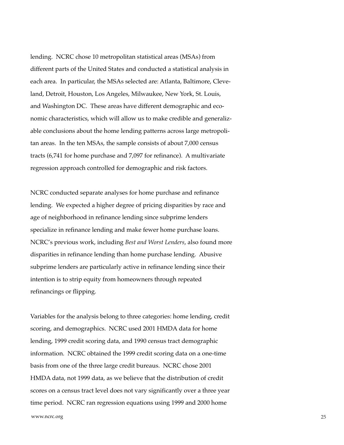lending. NCRC chose 10 metropolitan statistical areas (MSAs) from different parts of the United States and conducted a statistical analysis in each area. In particular, the MSAs selected are: Atlanta, Baltimore, Cleveland, Detroit, Houston, Los Angeles, Milwaukee, New York, St. Louis, and Washington DC. These areas have different demographic and economic characteristics, which will allow us to make credible and generalizable conclusions about the home lending patterns across large metropolitan areas. In the ten MSAs, the sample consists of about 7,000 census tracts (6,741 for home purchase and 7,097 for refinance). A multivariate regression approach controlled for demographic and risk factors.

NCRC conducted separate analyses for home purchase and refinance lending. We expected a higher degree of pricing disparities by race and age of neighborhood in refinance lending since subprime lenders specialize in refinance lending and make fewer home purchase loans. NCRC's previous work, including *Best and Worst Lenders*, also found more disparities in refinance lending than home purchase lending. Abusive subprime lenders are particularly active in refinance lending since their intention is to strip equity from homeowners through repeated refinancings or flipping.

Variables for the analysis belong to three categories: home lending, credit scoring, and demographics. NCRC used 2001 HMDA data for home lending, 1999 credit scoring data, and 1990 census tract demographic information. NCRC obtained the 1999 credit scoring data on a one-time basis from one of the three large credit bureaus. NCRC chose 2001 HMDA data, not 1999 data, as we believe that the distribution of credit scores on a census tract level does not vary significantly over a three year time period. NCRC ran regression equations using 1999 and 2000 home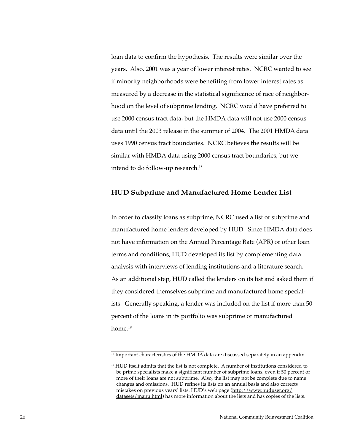loan data to confirm the hypothesis. The results were similar over the years. Also, 2001 was a year of lower interest rates. NCRC wanted to see if minority neighborhoods were benefiting from lower interest rates as measured by a decrease in the statistical significance of race of neighborhood on the level of subprime lending. NCRC would have preferred to use 2000 census tract data, but the HMDA data will not use 2000 census data until the 2003 release in the summer of 2004. The 2001 HMDA data uses 1990 census tract boundaries. NCRC believes the results will be similar with HMDA data using 2000 census tract boundaries, but we intend to do follow-up research.<sup>18</sup>

### **HUD Subprime and Manufactured Home Lender List**

In order to classify loans as subprime, NCRC used a list of subprime and manufactured home lenders developed by HUD. Since HMDA data does not have information on the Annual Percentage Rate (APR) or other loan terms and conditions, HUD developed its list by complementing data analysis with interviews of lending institutions and a literature search. As an additional step, HUD called the lenders on its list and asked them if they considered themselves subprime and manufactured home specialists. Generally speaking, a lender was included on the list if more than 50 percent of the loans in its portfolio was subprime or manufactured home.19

<sup>&</sup>lt;sup>18</sup> Important characteristics of the HMDA data are discussed separately in an appendix.

<sup>&</sup>lt;sup>19</sup> HUD itself admits that the list is not complete. A number of institutions considered to be prime specialists make a significant number of subprime loans, even if 50 percent or more of their loans are not subprime. Also, the list may not be complete due to name changes and omissions. HUD refines its lists on an annual basis and also corrects mistakes on previous years' lists. HUD's web page (http://www.huduser.org/ datasets/manu.html) has more information about the lists and has copies of the lists.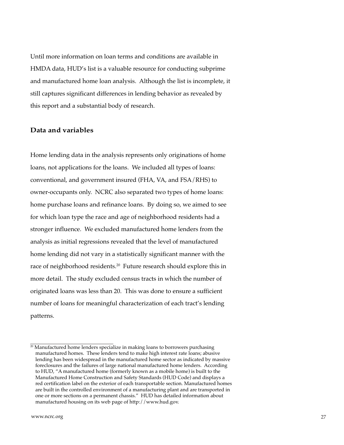<span id="page-26-0"></span>Until more information on loan terms and conditions are available in HMDA data, HUD's list is a valuable resource for conducting subprime and manufactured home loan analysis. Although the list is incomplete, it still captures significant differences in lending behavior as revealed by this report and a substantial body of research.

## **Data and variables**

Home lending data in the analysis represents only originations of home loans, not applications for the loans. We included all types of loans: conventional, and government insured (FHA, VA, and FSA/RHS) to owner-occupants only. NCRC also separated two types of home loans: home purchase loans and refinance loans. By doing so, we aimed to see for which loan type the race and age of neighborhood residents had a stronger influence. We excluded manufactured home lenders from the analysis as initial regressions revealed that the level of manufactured home lending did not vary in a statistically significant manner with the race of neighborhood residents.<sup>20</sup> Future research should explore this in more detail. The study excluded census tracts in which the number of originated loans was less than 20. This was done to ensure a sufficient number of loans for meaningful characterization of each tract's lending patterns.

 $20$  Manufactured home lenders specialize in making loans to borrowers purchasing manufactured homes. These lenders tend to make high interest rate loans; abusive lending has been widespread in the manufactured home sector as indicated by massive foreclosures and the failures of large national manufactured home lenders. According to HUD, "A manufactured home (formerly known as a mobile home) is built to the Manufactured Home Construction and Safety Standards (HUD Code) and displays a red certification label on the exterior of each transportable section. Manufactured homes are built in the controlled environment of a manufacturing plant and are transported in one or more sections on a permanent chassis." HUD has detailed information about manufactured housing on its web page of http://www.hud.gov.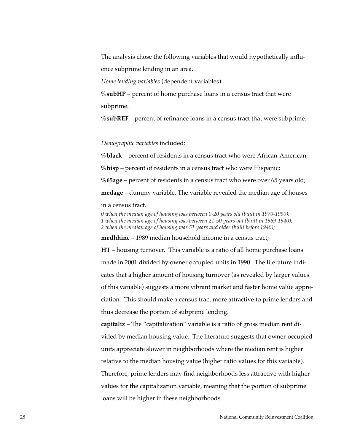The analysis chose the following variables that would hypothetically influence subprime lending in an area.

*Home lending variables* (dependent variables):

**%subHP** – percent of home purchase loans in a census tract that were subprime.

**%subREF** – percent of refinance loans in a census tract that were subprime.

*Demographic variables* included:

**%black** – percent of residents in a census tract who were African-American;

**%hisp** – percent of residents in a census tract who were Hispanic;

**%65age** – percent of residents in a census tract who were over 65 years old;

**medage** – dummy variable. The variable revealed the median age of houses

in a census tract.

*0 when the median age of housing was between 0-20 years old (built in 1970-1990); 1 when the median age of housing was between 21-50 years old (built in 1969-1940); 2 when the median age of housing was 51 years and older (built before 1940);*

**medhhinc** – 1989 median household income in a census tract;

**HT** – housing turnover. This variable is a ratio of all home purchase loans made in 2001 divided by owner occupied units in 1990. The literature indicates that a higher amount of housing turnover (as revealed by larger values of this variable) suggests a more vibrant market and faster home value appreciation. This should make a census tract more attractive to prime lenders and thus decrease the portion of subprime lending.

**capitaliz** – The "capitalization" variable is a ratio of gross median rent divided by median housing value. The literature suggests that owner-occupied units appreciate slower in neighborhoods where the median rent is higher relative to the median housing value (higher ratio values for this variable). Therefore, prime lenders may find neighborhoods less attractive with higher values for the capitalization variable, meaning that the portion of subprime loans will be higher in these neighborhoods.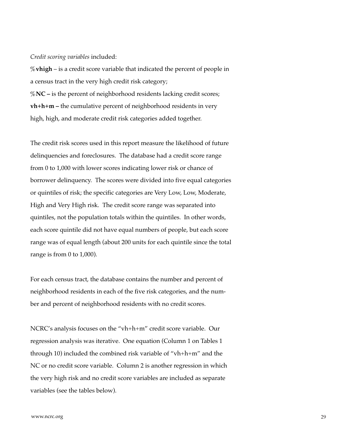#### *Credit scoring variables* included:

**%vhigh** – is a credit score variable that indicated the percent of people in a census tract in the very high credit risk category; **%NC –** is the percent of neighborhood residents lacking credit scores; **vh+h+m –** the cumulative percent of neighborhood residents in very high, high, and moderate credit risk categories added together.

The credit risk scores used in this report measure the likelihood of future delinquencies and foreclosures. The database had a credit score range from 0 to 1,000 with lower scores indicating lower risk or chance of borrower delinquency. The scores were divided into five equal categories or quintiles of risk; the specific categories are Very Low, Low, Moderate, High and Very High risk. The credit score range was separated into quintiles, not the population totals within the quintiles. In other words, each score quintile did not have equal numbers of people, but each score range was of equal length (about 200 units for each quintile since the total range is from 0 to 1,000).

For each census tract, the database contains the number and percent of neighborhood residents in each of the five risk categories, and the number and percent of neighborhood residents with no credit scores.

NCRC's analysis focuses on the "vh+h+m" credit score variable. Our regression analysis was iterative. One equation (Column 1 on Tables 1 through 10) included the combined risk variable of "vh+h+m" and the NC or no credit score variable. Column 2 is another regression in which the very high risk and no credit score variables are included as separate variables (see the tables below).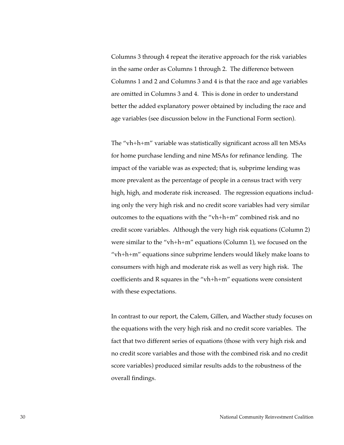Columns 3 through 4 repeat the iterative approach for the risk variables in the same order as Columns 1 through 2. The difference between Columns 1 and 2 and Columns 3 and 4 is that the race and age variables are omitted in Columns 3 and 4. This is done in order to understand better the added explanatory power obtained by including the race and age variables (see discussion below in the Functional Form section).

The "vh+h+m" variable was statistically significant across all ten MSAs for home purchase lending and nine MSAs for refinance lending. The impact of the variable was as expected; that is, subprime lending was more prevalent as the percentage of people in a census tract with very high, high, and moderate risk increased. The regression equations including only the very high risk and no credit score variables had very similar outcomes to the equations with the "vh+h+m" combined risk and no credit score variables. Although the very high risk equations (Column 2) were similar to the "vh+h+m" equations (Column 1), we focused on the "vh+h+m" equations since subprime lenders would likely make loans to consumers with high and moderate risk as well as very high risk. The coefficients and R squares in the "vh+h+m" equations were consistent with these expectations.

In contrast to our report, the Calem, Gillen, and Wacther study focuses on the equations with the very high risk and no credit score variables. The fact that two different series of equations (those with very high risk and no credit score variables and those with the combined risk and no credit score variables) produced similar results adds to the robustness of the overall findings.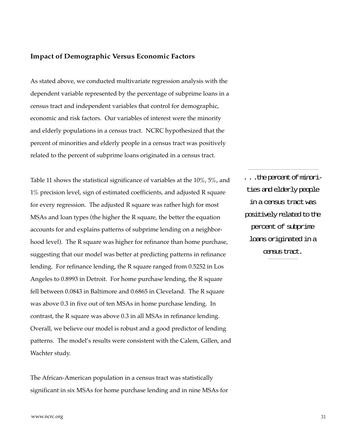## <span id="page-30-0"></span>**Impact of Demographic Versus Economic Factors**

As stated above, we conducted multivariate regression analysis with the dependent variable represented by the percentage of subprime loans in a census tract and independent variables that control for demographic, economic and risk factors. Our variables of interest were the minority and elderly populations in a census tract. NCRC hypothesized that the percent of minorities and elderly people in a census tract was positively related to the percent of subprime loans originated in a census tract.

Table 11 shows the statistical significance of variables at the 10%, 5%, and 1% precision level, sign of estimated coefficients, and adjusted R square for every regression. The adjusted R square was rather high for most MSAs and loan types (the higher the R square, the better the equation accounts for and explains patterns of subprime lending on a neighborhood level). The R square was higher for refinance than home purchase, suggesting that our model was better at predicting patterns in refinance lending. For refinance lending, the R square ranged from 0.5252 in Los Angeles to 0.8993 in Detroit. For home purchase lending, the R square fell between 0.0843 in Baltimore and 0.6865 in Cleveland. The R square was above 0.3 in five out of ten MSAs in home purchase lending. In contrast, the R square was above 0.3 in all MSAs in refinance lending. Overall, we believe our model is robust and a good predictor of lending patterns. The model's results were consistent with the Calem, Gillen, and Wachter study.

The African-American population in a census tract was statistically significant in six MSAs for home purchase lending and in nine MSAs for . . .the percent of minorities and elderly people in a census tract was positively related to the percent of subprime loans originated in a census tract.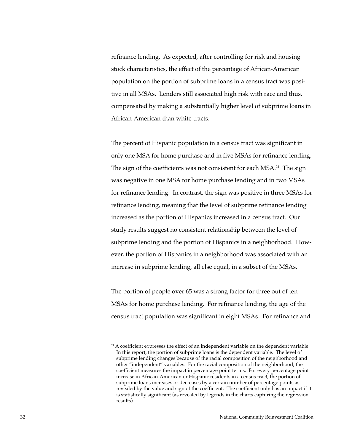refinance lending. As expected, after controlling for risk and housing stock characteristics, the effect of the percentage of African-American population on the portion of subprime loans in a census tract was positive in all MSAs. Lenders still associated high risk with race and thus, compensated by making a substantially higher level of subprime loans in African-American than white tracts.

The percent of Hispanic population in a census tract was significant in only one MSA for home purchase and in five MSAs for refinance lending. The sign of the coefficients was not consistent for each MSA.<sup>21</sup> The sign was negative in one MSA for home purchase lending and in two MSAs for refinance lending. In contrast, the sign was positive in three MSAs for refinance lending, meaning that the level of subprime refinance lending increased as the portion of Hispanics increased in a census tract. Our study results suggest no consistent relationship between the level of subprime lending and the portion of Hispanics in a neighborhood. However, the portion of Hispanics in a neighborhood was associated with an increase in subprime lending, all else equal, in a subset of the MSAs.

The portion of people over 65 was a strong factor for three out of ten MSAs for home purchase lending. For refinance lending, the age of the census tract population was significant in eight MSAs. For refinance and

<sup>&</sup>lt;sup>21</sup> A coefficient expresses the effect of an independent variable on the dependent variable. In this report, the portion of subprime loans is the dependent variable. The level of subprime lending changes because of the racial composition of the neighborhood and other "independent" variables. For the racial composition of the neighborhood, the coefficient measures the impact in percentage point terms. For every percentage point increase in African-American or Hispanic residents in a census tract, the portion of subprime loans increases or decreases by a certain number of percentage points as revealed by the value and sign of the coefficient. The coefficient only has an impact if it is statistically significant (as revealed by legends in the charts capturing the regression results).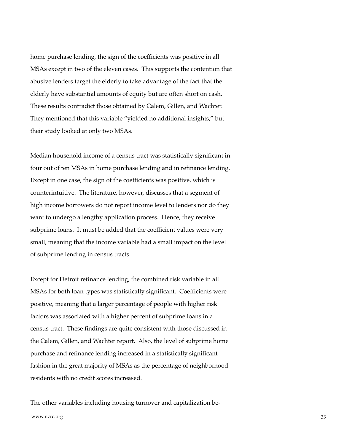home purchase lending, the sign of the coefficients was positive in all MSAs except in two of the eleven cases. This supports the contention that abusive lenders target the elderly to take advantage of the fact that the elderly have substantial amounts of equity but are often short on cash. These results contradict those obtained by Calem, Gillen, and Wachter. They mentioned that this variable "yielded no additional insights," but their study looked at only two MSAs.

Median household income of a census tract was statistically significant in four out of ten MSAs in home purchase lending and in refinance lending. Except in one case, the sign of the coefficients was positive, which is counterintuitive. The literature, however, discusses that a segment of high income borrowers do not report income level to lenders nor do they want to undergo a lengthy application process. Hence, they receive subprime loans. It must be added that the coefficient values were very small, meaning that the income variable had a small impact on the level of subprime lending in census tracts.

Except for Detroit refinance lending, the combined risk variable in all MSAs for both loan types was statistically significant. Coefficients were positive, meaning that a larger percentage of people with higher risk factors was associated with a higher percent of subprime loans in a census tract. These findings are quite consistent with those discussed in the Calem, Gillen, and Wachter report. Also, the level of subprime home purchase and refinance lending increased in a statistically significant fashion in the great majority of MSAs as the percentage of neighborhood residents with no credit scores increased.

www.ncrc.org 33 The other variables including housing turnover and capitalization be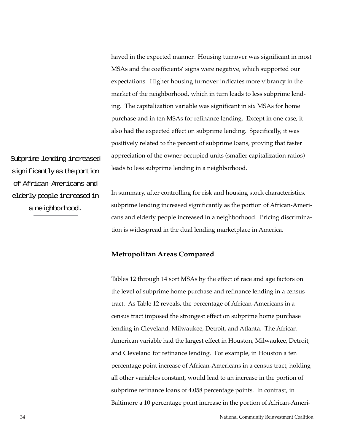<span id="page-33-0"></span>haved in the expected manner. Housing turnover was significant in most MSAs and the coefficients' signs were negative, which supported our expectations. Higher housing turnover indicates more vibrancy in the market of the neighborhood, which in turn leads to less subprime lending. The capitalization variable was significant in six MSAs for home purchase and in ten MSAs for refinance lending. Except in one case, it also had the expected effect on subprime lending. Specifically, it was positively related to the percent of subprime loans, proving that faster appreciation of the owner-occupied units (smaller capitalization ratios) leads to less subprime lending in a neighborhood.

Subprime lending increased significantly as the portion of African-Americans and elderly people increased in a neighborhood.

In summary, after controlling for risk and housing stock characteristics, subprime lending increased significantly as the portion of African-Americans and elderly people increased in a neighborhood. Pricing discrimination is widespread in the dual lending marketplace in America.

## **Metropolitan Areas Compared**

Tables 12 through 14 sort MSAs by the effect of race and age factors on the level of subprime home purchase and refinance lending in a census tract. As Table 12 reveals, the percentage of African-Americans in a census tract imposed the strongest effect on subprime home purchase lending in Cleveland, Milwaukee, Detroit, and Atlanta. The African-American variable had the largest effect in Houston, Milwaukee, Detroit, and Cleveland for refinance lending. For example, in Houston a ten percentage point increase of African-Americans in a census tract, holding all other variables constant, would lead to an increase in the portion of subprime refinance loans of 4.058 percentage points. In contrast, in Baltimore a 10 percentage point increase in the portion of African-Ameri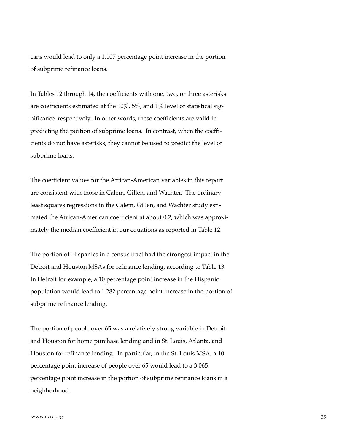cans would lead to only a 1.107 percentage point increase in the portion of subprime refinance loans.

In Tables 12 through 14, the coefficients with one, two, or three asterisks are coefficients estimated at the 10%, 5%, and 1% level of statistical significance, respectively. In other words, these coefficients are valid in predicting the portion of subprime loans. In contrast, when the coefficients do not have asterisks, they cannot be used to predict the level of subprime loans.

The coefficient values for the African-American variables in this report are consistent with those in Calem, Gillen, and Wachter. The ordinary least squares regressions in the Calem, Gillen, and Wachter study estimated the African-American coefficient at about 0.2, which was approximately the median coefficient in our equations as reported in Table 12.

The portion of Hispanics in a census tract had the strongest impact in the Detroit and Houston MSAs for refinance lending, according to Table 13. In Detroit for example, a 10 percentage point increase in the Hispanic population would lead to 1.282 percentage point increase in the portion of subprime refinance lending.

The portion of people over 65 was a relatively strong variable in Detroit and Houston for home purchase lending and in St. Louis, Atlanta, and Houston for refinance lending. In particular, in the St. Louis MSA, a 10 percentage point increase of people over 65 would lead to a 3.065 percentage point increase in the portion of subprime refinance loans in a neighborhood.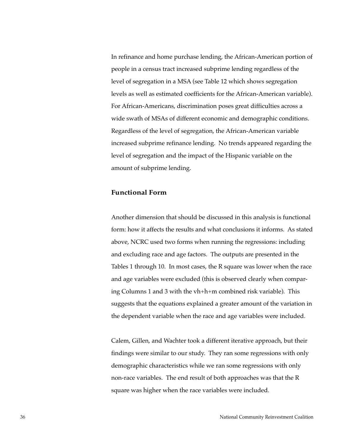<span id="page-35-0"></span>In refinance and home purchase lending, the African-American portion of people in a census tract increased subprime lending regardless of the level of segregation in a MSA (see Table 12 which shows segregation levels as well as estimated coefficients for the African-American variable). For African-Americans, discrimination poses great difficulties across a wide swath of MSAs of different economic and demographic conditions. Regardless of the level of segregation, the African-American variable increased subprime refinance lending. No trends appeared regarding the level of segregation and the impact of the Hispanic variable on the amount of subprime lending.

## **Functional Form**

Another dimension that should be discussed in this analysis is functional form: how it affects the results and what conclusions it informs. As stated above, NCRC used two forms when running the regressions: including and excluding race and age factors. The outputs are presented in the Tables 1 through 10. In most cases, the R square was lower when the race and age variables were excluded (this is observed clearly when comparing Columns 1 and 3 with the vh+h+m combined risk variable). This suggests that the equations explained a greater amount of the variation in the dependent variable when the race and age variables were included.

Calem, Gillen, and Wachter took a different iterative approach, but their findings were similar to our study. They ran some regressions with only demographic characteristics while we ran some regressions with only non-race variables. The end result of both approaches was that the R square was higher when the race variables were included.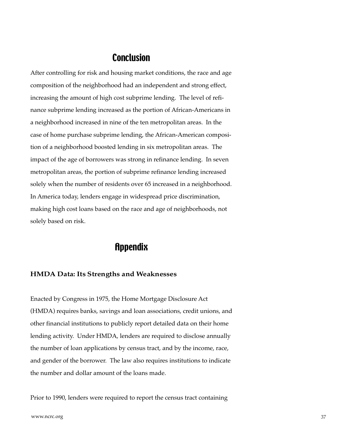# **Conclusion**

<span id="page-36-0"></span>After controlling for risk and housing market conditions, the race and age composition of the neighborhood had an independent and strong effect, increasing the amount of high cost subprime lending. The level of refinance subprime lending increased as the portion of African-Americans in a neighborhood increased in nine of the ten metropolitan areas. In the case of home purchase subprime lending, the African-American composition of a neighborhood boosted lending in six metropolitan areas. The impact of the age of borrowers was strong in refinance lending. In seven metropolitan areas, the portion of subprime refinance lending increased solely when the number of residents over 65 increased in a neighborhood. In America today, lenders engage in widespread price discrimination, making high cost loans based on the race and age of neighborhoods, not solely based on risk.

# **Appendix**

## **HMDA Data: Its Strengths and Weaknesses**

Enacted by Congress in 1975, the Home Mortgage Disclosure Act (HMDA) requires banks, savings and loan associations, credit unions, and other financial institutions to publicly report detailed data on their home lending activity. Under HMDA, lenders are required to disclose annually the number of loan applications by census tract, and by the income, race, and gender of the borrower. The law also requires institutions to indicate the number and dollar amount of the loans made.

Prior to 1990, lenders were required to report the census tract containing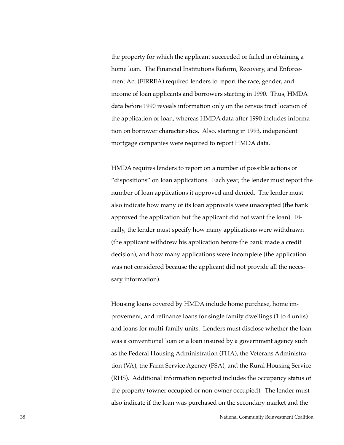the property for which the applicant succeeded or failed in obtaining a home loan. The Financial Institutions Reform, Recovery, and Enforcement Act (FIRREA) required lenders to report the race, gender, and income of loan applicants and borrowers starting in 1990. Thus, HMDA data before 1990 reveals information only on the census tract location of the application or loan, whereas HMDA data after 1990 includes information on borrower characteristics. Also, starting in 1993, independent mortgage companies were required to report HMDA data.

HMDA requires lenders to report on a number of possible actions or "dispositions" on loan applications. Each year, the lender must report the number of loan applications it approved and denied. The lender must also indicate how many of its loan approvals were unaccepted (the bank approved the application but the applicant did not want the loan). Finally, the lender must specify how many applications were withdrawn (the applicant withdrew his application before the bank made a credit decision), and how many applications were incomplete (the application was not considered because the applicant did not provide all the necessary information).

Housing loans covered by HMDA include home purchase, home improvement, and refinance loans for single family dwellings (1 to 4 units) and loans for multi-family units. Lenders must disclose whether the loan was a conventional loan or a loan insured by a government agency such as the Federal Housing Administration (FHA), the Veterans Administration (VA), the Farm Service Agency (FSA), and the Rural Housing Service (RHS). Additional information reported includes the occupancy status of the property (owner occupied or non-owner occupied). The lender must also indicate if the loan was purchased on the secondary market and the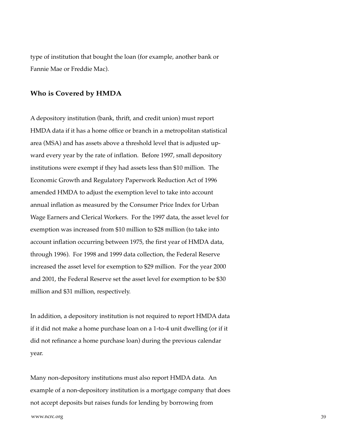type of institution that bought the loan (for example, another bank or Fannie Mae or Freddie Mac).

#### **Who is Covered by HMDA**

A depository institution (bank, thrift, and credit union) must report HMDA data if it has a home office or branch in a metropolitan statistical area (MSA) and has assets above a threshold level that is adjusted upward every year by the rate of inflation. Before 1997, small depository institutions were exempt if they had assets less than \$10 million. The Economic Growth and Regulatory Paperwork Reduction Act of 1996 amended HMDA to adjust the exemption level to take into account annual inflation as measured by the Consumer Price Index for Urban Wage Earners and Clerical Workers. For the 1997 data, the asset level for exemption was increased from \$10 million to \$28 million (to take into account inflation occurring between 1975, the first year of HMDA data, through 1996). For 1998 and 1999 data collection, the Federal Reserve increased the asset level for exemption to \$29 million. For the year 2000 and 2001, the Federal Reserve set the asset level for exemption to be \$30 million and \$31 million, respectively.

In addition, a depository institution is not required to report HMDA data if it did not make a home purchase loan on a 1-to-4 unit dwelling (or if it did not refinance a home purchase loan) during the previous calendar year.

Many non-depository institutions must also report HMDA data. An example of a non-depository institution is a mortgage company that does not accept deposits but raises funds for lending by borrowing from

www.ncrc.org 39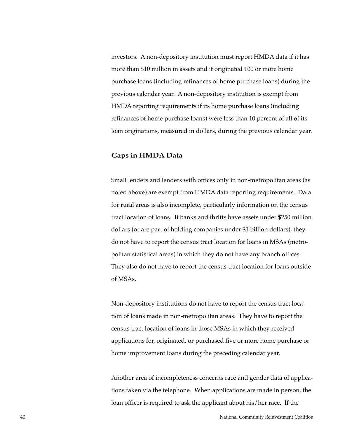investors. A non-depository institution must report HMDA data if it has more than \$10 million in assets and it originated 100 or more home purchase loans (including refinances of home purchase loans) during the previous calendar year. A non-depository institution is exempt from HMDA reporting requirements if its home purchase loans (including refinances of home purchase loans) were less than 10 percent of all of its loan originations, measured in dollars, during the previous calendar year.

### **Gaps in HMDA Data**

Small lenders and lenders with offices only in non-metropolitan areas (as noted above) are exempt from HMDA data reporting requirements. Data for rural areas is also incomplete, particularly information on the census tract location of loans. If banks and thrifts have assets under \$250 million dollars (or are part of holding companies under \$1 billion dollars), they do not have to report the census tract location for loans in MSAs (metropolitan statistical areas) in which they do not have any branch offices. They also do not have to report the census tract location for loans outside of MSAs.

Non-depository institutions do not have to report the census tract location of loans made in non-metropolitan areas. They have to report the census tract location of loans in those MSAs in which they received applications for, originated, or purchased five or more home purchase or home improvement loans during the preceding calendar year.

Another area of incompleteness concerns race and gender data of applications taken via the telephone. When applications are made in person, the loan officer is required to ask the applicant about his/her race. If the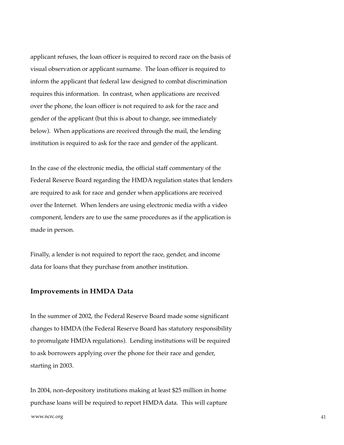applicant refuses, the loan officer is required to record race on the basis of visual observation or applicant surname. The loan officer is required to inform the applicant that federal law designed to combat discrimination requires this information. In contrast, when applications are received over the phone, the loan officer is not required to ask for the race and gender of the applicant (but this is about to change, see immediately below). When applications are received through the mail, the lending institution is required to ask for the race and gender of the applicant.

In the case of the electronic media, the official staff commentary of the Federal Reserve Board regarding the HMDA regulation states that lenders are required to ask for race and gender when applications are received over the Internet. When lenders are using electronic media with a video component, lenders are to use the same procedures as if the application is made in person.

Finally, a lender is not required to report the race, gender, and income data for loans that they purchase from another institution.

#### **Improvements in HMDA Data**

In the summer of 2002, the Federal Reserve Board made some significant changes to HMDA (the Federal Reserve Board has statutory responsibility to promulgate HMDA regulations). Lending institutions will be required to ask borrowers applying over the phone for their race and gender, starting in 2003.

In 2004, non-depository institutions making at least \$25 million in home purchase loans will be required to report HMDA data. This will capture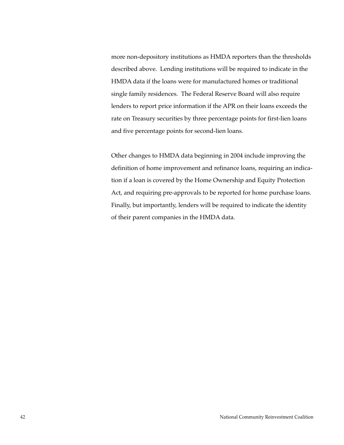more non-depository institutions as HMDA reporters than the thresholds described above. Lending institutions will be required to indicate in the HMDA data if the loans were for manufactured homes or traditional single family residences. The Federal Reserve Board will also require lenders to report price information if the APR on their loans exceeds the rate on Treasury securities by three percentage points for first-lien loans and five percentage points for second-lien loans.

Other changes to HMDA data beginning in 2004 include improving the definition of home improvement and refinance loans, requiring an indication if a loan is covered by the Home Ownership and Equity Protection Act, and requiring pre-approvals to be reported for home purchase loans. Finally, but importantly, lenders will be required to indicate the identity of their parent companies in the HMDA data.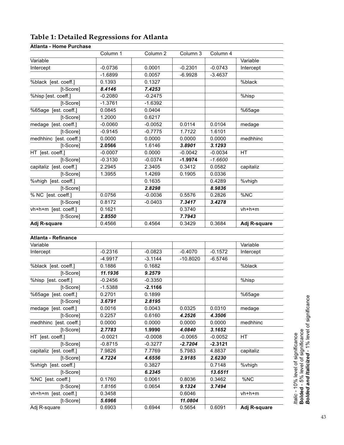|                            | Column 1  | Column 2  | Column 3   | Column 4  |              |
|----------------------------|-----------|-----------|------------|-----------|--------------|
| Variable                   |           |           |            |           | Variable     |
| Intercept                  | $-0.0736$ | 0.0001    | $-0.2301$  | $-0.0743$ | Intercept    |
|                            | $-1.6899$ | 0.0057    | $-6.9928$  | $-3.4637$ |              |
| %black [est. coeff.]       | 0.1393    | 0.1327    |            |           | %black       |
| [t-Score]                  | 8.4146    | 7.4253    |            |           |              |
| %hisp [est. coeff.]        | $-0.2080$ | $-0.2475$ |            |           | %hisp        |
| [t-Score]                  | $-1.3761$ | $-1.6392$ |            |           |              |
| %65age [est. coeff.]       | 0.0845    | 0.0404    |            |           | %65age       |
| $[t-Score]$                | 1.2000    | 0.6217    |            |           |              |
| medage [est. coeff.]       | $-0.0060$ | $-0.0052$ | 0.0114     | 0.0104    | medage       |
| [t-Score]                  | $-0.9145$ | $-0.7775$ | 1.7122     | 1.6101    |              |
| medhhinc [est. coeff.]     | 0.0000    | 0.0000    | 0.0000     | 0.0000    | medhhinc     |
| [t-Score]                  | 2.0566    | 1.6146    | 3.8901     | 3.1293    |              |
| HT [est. coeff.]           | $-0.0007$ | 0.0000    | $-0.0042$  | $-0.0034$ | <b>HT</b>    |
| [t-Score]                  | $-0.3130$ | $-0.0374$ | $-1.9974$  | $-1.6600$ |              |
| capitaliz [est. coeff.]    | 2.2945    | 2.3405    | 0.3412     | 0.0582    | capitaliz    |
| [t-Score]                  | 1.3955    | 1.4269    | 0.1905     | 0.0336    |              |
| %vhigh [est. coeff.]       |           | 0.1635    |            | 0.4289    | %vhigh       |
| [t-Score]                  |           | 2.8298    |            | 8.9836    |              |
| % NC [est. coeff.]         | 0.0756    | $-0.0036$ | 0.5576     | 0.2826    | %NC          |
| [t-Score]                  | 0.8172    | $-0.0403$ | 7.3417     | 3.4278    |              |
| vh+h+m [est. coeff.]       | 0.1621    |           | 0.3740     |           | vh+h+m       |
| [t-Score]                  | 2.8550    |           | 7.7943     |           |              |
| Adj R-square               | 0.4566    | 0.4564    | 0.3429     | 0.3684    | Adj R-square |
|                            |           |           |            |           |              |
| <b>Atlanta - Refinance</b> |           |           |            |           |              |
| Variable                   |           |           |            |           | Variable     |
| Intercept                  | $-0.2316$ | $-0.0823$ | $-0.4070$  | $-0.1572$ |              |
|                            | $-4.9917$ | $-3.1144$ | $-10.8020$ | $-6.5746$ | Intercept    |
|                            | 0.1886    | 0.1682    |            |           | %black       |
| %black [est. coeff.]       | 11.1936   | 9.2579    |            |           |              |
| [t-Score]                  |           |           |            |           |              |
| %hisp [est. coeff.]        | $-0.2456$ | $-0.3350$ |            |           | %hisp        |
| [t-Score]                  | $-1.5388$ | $-2.1166$ |            |           |              |
| %65age [est. coeff.]       | 0.2701    | 0.1899    |            |           | %65age       |
| [t-Score]                  | 3.6791    | 2.8195    |            |           |              |
| medage [est. coeff.]       | 0.0016    | 0.0043    | 0.0325     | 0.0310    | medage       |
| [t-Score]                  | 0.2257    | 0.6160    | 4.2526     | 4.3506    |              |
| medhhinc [est. coeff.]     | 0.0000    | 0.0000    | 0.0000     | 0.0000    | medhhinc     |
| [t-Score]                  | 2.7783    | 1.9990    | 4.0840     | 3.1652    |              |
| HT [est. coeff.]           | $-0.0021$ | $-0.0008$ | $-0.0065$  | $-0.0052$ | HT           |
| [t-Score]                  | $-0.8715$ | $-0.3277$ | $-2.7204$  | $-2.3121$ |              |
| capitaliz [est. coeff.]    | 7.9826    | 7.7769    | 5.7983     | 4.8837    | capitaliz    |
| [t-Score]                  | 4.7224    | 4.6556    | 2.9185     | 2.6230    |              |
| %vhigh [est. coeff.]       |           | 0.3827    |            | 0.7148    | %vhigh       |
| [t-Score]                  |           | 6.2345    |            | 13.6511   |              |
| %NC [est. coeff.]          | 0.1760    | 0.0061    | 0.8036     | 0.3462    | %NC          |
| [t-Score]                  | 1.8166    | 0.0654    | 9.1324     | 3.7494    |              |
| vh+h+m [est. coeff.]       | 0.3458    |           | 0.6046     |           | vh+h+m       |
| [t-Score]                  | 5.6966    |           | 11.0804    |           |              |
| Adj R-square               | 0.6903    | 0.6944    | 0.5654     | 0.6091    | Adj R-square |

# <span id="page-42-0"></span>**Table 1: Detailed Regressions for Atlanta**

## **Atlanta - Home Purchase**

*Italic* - 10% level of significance<br>**Bolded** - 5% level of significance<br>**Bolded and Italicized** - 1% level of significance *Bolded and Italicized* - 1% level of significance **Bolded** - 5% level of significance

*Italic -* 10% level of significance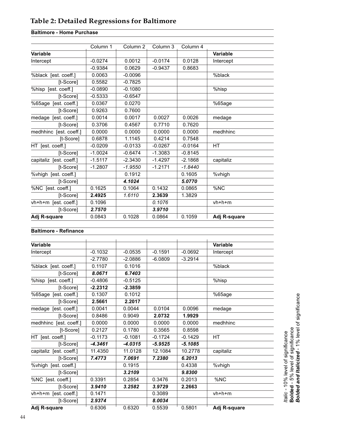# <span id="page-43-0"></span>**Table 2: Detailed Regressions for Baltimore**

# **Baltimore - Home Purchase**

| Adj R-square            | 0.0843    | 0.1028              | 0.0864    | 0.1059    | Adj R-square    |
|-------------------------|-----------|---------------------|-----------|-----------|-----------------|
| [t-Score]               | 2.7570    |                     | 3.9710    |           |                 |
| vh+h+m [est. coeff.]    | 0.1096    |                     | 0.1076    |           | $vh+h+m$        |
| [t-Score]               | 2.4925    | 1.6110              | 2.3639    | 1.3829    |                 |
| %NC [est. coeff.]       | 0.1625    | 0.1064              | 0.1432    | 0.0865    | %NC             |
| [t-Score]               |           | 4.1024              |           | 5.0770    |                 |
| %vhigh [est. coeff.]    |           | 0.1912              |           | 0.1605    | %vhigh          |
| [t-Score]               | $-1.2807$ | $-1.9550$           | $-1.2171$ | $-1.8440$ |                 |
| capitaliz [est. coeff.] | $-1.5117$ | $-2.3430$           | $-1.4297$ | $-2.1868$ | capitaliz       |
| [t-Score]               | $-1.0024$ | $-0.6474$           | $-1.3083$ | $-0.8145$ |                 |
| HT [est. coeff.]        | $-0.0209$ | $-0.0133$           | $-0.0267$ | $-0.0164$ | <b>HT</b>       |
| [t-Score]               | 0.6878    | 1.1145              | 0.4214    | 0.7548    |                 |
| medhhinc [est. coeff.]  | 0.0000    | 0.0000              | 0.0000    | 0.0000    | medhhinc        |
| [t-Score]               | 0.3706    | 0.4567              | 0.7710    | 0.7620    |                 |
| medage [est. coeff.]    | 0.0014    | 0.0017              | 0.0027    | 0.0026    | medage          |
| [t-Score]               | 0.9263    | 0.7600              |           |           |                 |
| %65age [est. coeff.]    | 0.0367    | 0.0270              |           |           | %65age          |
| [t-Score]               | $-0.5333$ | $-0.6547$           |           |           |                 |
| %hisp [est. coeff.]     | $-0.0890$ | $-0.1080$           |           |           | %hisp           |
| [t-Score]               | 0.5582    | $-0.7825$           |           |           |                 |
| %black [est. coeff.]    | 0.0063    | $-0.0096$           |           |           | %black          |
|                         | $-0.9384$ | 0.0629              | $-0.9437$ | 0.8683    |                 |
| Intercept               | $-0.0274$ | 0.0012              | $-0.0174$ | 0.0128    | Intercept       |
| Variable                |           |                     |           |           | <b>Variable</b> |
|                         | Column 1  | Column <sub>2</sub> | Column 3  | Column 4  |                 |

#### **Baltimore - Refinance**

| <b>Variable</b>         |           |           |           |           | <b>Variable</b> |
|-------------------------|-----------|-----------|-----------|-----------|-----------------|
| Intercept               | $-0.1032$ | $-0.0535$ | $-0.1591$ | $-0.0692$ | Intercept       |
|                         | $-2.7780$ | $-2.0886$ | $-6.0809$ | $-3.2914$ |                 |
| %black [est. coeff.]    | 0.1107    | 0.1016    |           |           | %black          |
| [t-Score]               | 8.0671    | 6.7403    |           |           |                 |
| %hisp [est. coeff.]     | $-0.4806$ | $-0.5125$ |           |           | %hisp           |
| [t-Score]               | $-2.2312$ | $-2.3859$ |           |           |                 |
| %65age [est. coeff.]    | 0.1307    | 0.1012    |           |           | %65age          |
| [t-Score]               | 2.5661    | 2.2017    |           |           |                 |
| medage [est. coeff.]    | 0.0041    | 0.0044    | 0.0104    | 0.0096    | medage          |
| [t-Score]               | 0.8486    | 0.9049    | 2.0732    | 1.9929    |                 |
| medhhinc [est. coeff.]  | 0.0000    | 0.0000    | 0.0000    | 0.0000    | medhhinc        |
| [t-Score]               | 0.2127    | 0.1780    | 0.3565    | 0.8598    |                 |
| HT [est. coeff.]        | $-0.1173$ | $-0.1081$ | $-0.1724$ | $-0.1429$ | <b>HT</b>       |
| [t-Score]               | $-4.3461$ | $-4.0315$ | $-5.9525$ | $-5.1085$ |                 |
| capitaliz [est. coeff.] | 11.4350   | 11.0128   | 12.1084   | 10.2778   | capitaliz       |
| [t-Score]               | 7.4773    | 7.0691    | 7.2380    | 6.2013    |                 |
| %vhigh [est. coeff.]    |           | 0.1915    |           | 0.4338    | %vhigh          |
| [t-Score]               |           | 3.2109    |           | 9.8300    |                 |
| %NC [est. coeff.]       | 0.3391    | 0.2854    | 0.3476    | 0.2013    | %NC             |
| [t-Score]               | 3.9410    | 3.2582    | 3.9729    | 2.2663    |                 |
| vh+h+m [est. coeff.]    | 0.1471    |           | 0.3089    |           | $vh+h+m$        |
| [t-Score]               | 2.9374    |           | 8.0034    |           |                 |
| Adj R-square            | 0.6306    | 0.6320    | 0.5539    | 0.5801    | Adj R-square    |

*ttalic* - 10% level of significance<br>**Bolded** - 5% level of significance<br>**Bolded and Italicized** - 1% level of significance *Bolded and Italicized* - 1% level of significance **Bolded** - 5% level of significance *Italic -* 10% level of significance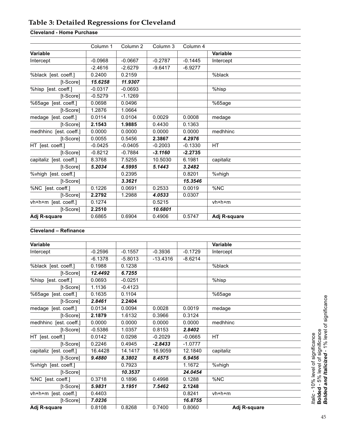# <span id="page-44-0"></span>**Table 3: Detailed Regressions for Cleveland**

## **Cleveland - Home Purchase**

|                         | Column 1  | Column <sub>2</sub> | Column 3  | Column 4  |                 |
|-------------------------|-----------|---------------------|-----------|-----------|-----------------|
| Variable                |           |                     |           |           | <b>Variable</b> |
| Intercept               | $-0.0968$ | $-0.0667$           | $-0.2787$ | $-0.1445$ | Intercept       |
|                         | $-2.4616$ | $-2.6279$           | $-9.6417$ | $-6.9277$ |                 |
| %black [est. coeff.]    | 0.2400    | 0.2159              |           |           | %black          |
| [t-Score]               | 15.6258   | 11.9307             |           |           |                 |
| %hisp [est. coeff.]     | $-0.0317$ | $-0.0693$           |           |           | %hisp           |
| [t-Score]               | $-0.5279$ | $-1.1269$           |           |           |                 |
| %65age [est. coeff.]    | 0.0698    | 0.0496              |           |           | %65age          |
| [t-Score]               | 1.2876    | 1.0664              |           |           |                 |
| medage [est. coeff.]    | 0.0114    | 0.0104              | 0.0029    | 0.0008    | medage          |
| [t-Score]               | 2.1543    | 1.9885              | 0.4430    | 0.1363    |                 |
| medhhinc [est. coeff.]  | 0.0000    | 0.0000              | 0.0000    | 0.0000    | medhhinc        |
| [t-Score]               | 0.0055    | 0.5456              | 2.3867    | 4.2976    |                 |
| HT [est. coeff.]        | $-0.0425$ | $-0.0405$           | $-0.2003$ | $-0.1330$ | <b>HT</b>       |
| [t-Score]               | $-0.8212$ | $-0.7884$           | $-3.1160$ | $-2.2735$ |                 |
| capitaliz [est. coeff.] | 8.3768    | 7.5255              | 10.5030   | 6.1981    | capitaliz       |
| [t-Score]               | 5.2034    | 4.5995              | 5.1443    | 3.2482    |                 |
| %vhigh [est. coeff.]    |           | 0.2395              |           | 0.8201    | %vhigh          |
| [t-Score]               |           | 3.3621              |           | 15.3546   |                 |
| %NC [est. coeff.]       | 0.1226    | 0.0691              | 0.2533    | 0.0019    | %NC             |
| [t-Score]               | 2.2792    | 1.2988              | 4.0533    | 0.0307    |                 |
| vh+h+m [est. coeff.]    | 0.1274    |                     | 0.5215    |           | $vh+h+m$        |
| [t-Score]               | 2.2510    |                     | 10.6801   |           |                 |
| Adj R-square            | 0.6865    | 0.6904              | 0.4906    | 0.5747    | Adj R-square    |

## **Cleveland – Refinance**

| <b>Variable</b>         |           |           |            |           | <b>Variable</b> |  |
|-------------------------|-----------|-----------|------------|-----------|-----------------|--|
| Intercept               | $-0.2596$ | $-0.1557$ | $-0.3936$  | $-0.1729$ | Intercept       |  |
|                         | $-6.1378$ | $-5.8013$ | $-13.4316$ | $-8.6214$ |                 |  |
| %black [est. coeff.]    | 0.1988    | 0.1238    |            |           | %black          |  |
| [t-Score]               | 12.4492   | 6.7255    |            |           |                 |  |
| %hisp [est. coeff.]     | 0.0693    | $-0.0251$ |            |           | %hisp           |  |
| [t-Score]               | 1.1136    | $-0.4123$ |            |           |                 |  |
| %65age [est. coeff.]    | 0.1635    | 0.1104    |            |           | %65age          |  |
| [t-Score]               | 2.8461    | 2.2404    |            |           |                 |  |
| medage [est. coeff.]    | 0.0134    | 0.0094    | 0.0028     | 0.0019    | medage          |  |
| [t-Score]               | 2.1879    | 1.6132    | 0.3966     | 0.3124    |                 |  |
| medhhinc [est. coeff.]  | 0.0000    | 0.0000    | 0.0000     | 0.0000    | medhhinc        |  |
| [t-Score]               | $-0.5386$ | 1.0357    | 0.8153     | 2.8402    |                 |  |
| HT [est. coeff.]        | 0.0142    | 0.0298    | $-0.2029$  | $-0.0665$ | <b>HT</b>       |  |
| [t-Score]               | 0.2246    | 0.4945    | $-2.8433$  | $-1.0777$ |                 |  |
| capitaliz [est. coeff.] | 16.4428   | 14.1417   | 16.9059    | 12.1840   | capitaliz       |  |
| [t-Score]               | 9.4880    | 8.3802    | 8.4575     | 6.9456    |                 |  |
| %vhigh [est. coeff.]    |           | 0.7923    |            | 1.1672    | %vhigh          |  |
| [t-Score]               |           | 10.3537   |            | 24.0454   |                 |  |
| %NC [est. coeff.]       | 0.3718    | 0.1896    | 0.4998     | 0.1288    | %NC             |  |
| [t-Score]               | 5.9831    | 3.1951    | 7.5462     | 2.1248    |                 |  |
| vh+h+m [est. coeff.]    | 0.4403    |           |            | 0.8241    | vh+h+m          |  |
| [t-Score]               | 7.0236    |           |            | 16,8755   |                 |  |
| Adj R-square            | 0.8108    | 0.8268    | 0.7400     | 0.8060    | Adj R-square    |  |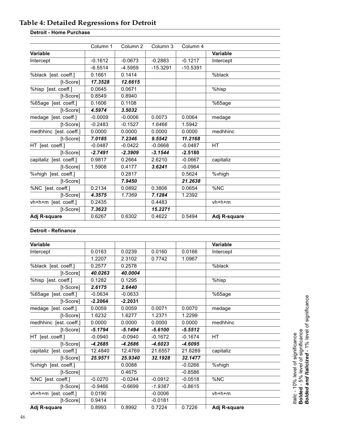# <span id="page-45-0"></span>**Table 4: Detailed Regressions for Detroit**

## **Detroit - Home Purchase**

|                         | Column 1  | Column <sub>2</sub> | Column 3   | Column 4   |              |
|-------------------------|-----------|---------------------|------------|------------|--------------|
| Variable                |           |                     |            |            | Variable     |
| Intercept               | $-0.1612$ | $-0.0673$           | $-0.2883$  | $-0.1217$  | Intercept    |
|                         | $-6.5514$ | $-4.5959$           | $-15.3291$ | $-10.5391$ |              |
| %black [est. coeff.]    | 0.1661    | 0.1414              |            |            | %black       |
| [t-Score]               | 17.3528   | 12.6615             |            |            |              |
| %hisp [est. coeff.]     | 0.0645    | 0.0671              |            |            | %hisp        |
| [t-Score]               | 0.8549    | 0.8940              |            |            |              |
| %65age [est. coeff.]    | 0.1606    | 0.1108              |            |            | %65age       |
| [t-Score]               | 4.5974    | 3.5032              |            |            |              |
| medage [est. coeff.]    | $-0.0009$ | $-0.0006$           | 0.0073     | 0.0064     | medage       |
| [t-Score]               | $-0.2483$ | $-0.1527$           | 1.6466     | 1.5942     |              |
| medhhinc [est. coeff.]  | 0.0000    | 0.0000              | 0.0000     | 0.0000     | medhhinc     |
| [t-Score]               | 7.0185    | 7.2346              | 9.5542     | 11.2168    |              |
| HT [est. coeff.]        | $-0.0487$ | $-0.0422$           | $-0.0668$  | $-0.0487$  | НT           |
| [t-Score]               | $-2.7491$ | $-2.3909$           | $-3.1544$  | $-2.5180$  |              |
| capitaliz [est. coeff.] | 0.9817    | 0.2664              | 2.6210     | $-0.0667$  | capitaliz    |
| [t-Score]               | 1.5908    | 0.4177              | 3.6241     | $-0.0964$  |              |
| %vhigh [est. coeff.]    |           | 0.2817              |            | 0.5624     | %vhigh       |
| [t-Score]               |           | 7.9450              |            | 21.2638    |              |
| %NC [est. coeff.]       | 0.2134    | 0.0892              | 0.3806     | 0.0654     | %NC          |
| [t-Score]               | 4.3575    | 1.7369              | 7.1284     | 1.2392     |              |
| vh+h+m [est. coeff.]    | 0.2435    |                     | 0.4483     |            | $vh+h+m$     |
| [t-Score]               | 7.3623    |                     | 15.2271    |            |              |
| Adj R-square            | 0.6267    | 0.6302              | 0.4622     | 0.5494     | Adj R-square |

## **Detroit - Refinance**

| Variable                |           |           |           |           | <b>Variable</b> |
|-------------------------|-----------|-----------|-----------|-----------|-----------------|
| Intercept               | 0.0163    | 0.0239    | 0.0160    | 0.0166    | Intercept       |
|                         | 1.2207    | 2.3102    | 0.7742    | 1.0967    |                 |
| %black [est. coeff.]    | 0.2577    | 0.2578    |           |           | %black          |
| [t-Score]               | 40.0263   | 40.0004   |           |           |                 |
| %hisp [est. coeff.]     | 0.1282    | 0.1295    |           |           | %hisp           |
| [t-Score]               | 2.6175    | 2.6440    |           |           |                 |
| %65age [est. coeff.]    | $-0.0634$ | $-0.0633$ |           |           | %65age          |
| [t-Score]               | $-2.2064$ | $-2.2031$ |           |           |                 |
| medage [est. coeff.]    | 0.0059    | 0.0059    | 0.0071    | 0.0070    | medage          |
| [t-Score]               | 1.6232    | 1.6277    | 1.2371    | 1.2299    |                 |
| medhhinc [est. coeff.]  | 0.0000    | 0.0000    | 0.0000    | 0.0000    | medhhinc        |
| [t-Score]               | $-5.1794$ | $-5.1494$ | $-5.6100$ | $-5.5512$ |                 |
| HT [est. coeff.]        | $-0.0940$ | $-0.0940$ | $-0.1672$ | $-0.1674$ | <b>HT</b>       |
| [t-Score]               | $-4.2685$ | $-4.2686$ | $-4.6023$ | $-4.6095$ |                 |
| capitaliz [est. coeff.] | 12.4840   | 12.4769   | 21.6557   | 21.6289   | capitaliz       |
| [t-Score]               | 25.9571   | 25.9340   | 32.1928   | 32.1477   |                 |
| %vhigh [est. coeff.]    |           | 0.0088    |           | $-0.0266$ | %vhigh          |
| [t-Score]               |           | 0.4675    |           | $-0.8586$ |                 |
| %NC [est. coeff.]       | $-0.0270$ | $-0.0244$ | $-0.0912$ | $-0.0518$ | %NC             |
| [t-Score]               | $-0.9466$ | $-0.6699$ | $-1.9387$ | $-0.8615$ |                 |
| vh+h+m [est. coeff.]    | 0.0190    |           | $-0.0006$ |           | $vh+h+m$        |
| [t-Score]               | 0.9414    |           | $-0.0181$ |           |                 |
| Adi R-square            | 0.8993    | 0.8992    | 0.7224    | 0.7226    | Adj R-square    |

*Italic* - 10% level of significance<br>**Bolded** - 5% level of significance<br>**Bolded and Italicized** - 1% level of significance *Bolded and Italicized* - 1% level of significance**Bolded** - 5% level of significance *Italic -* 10% level of significance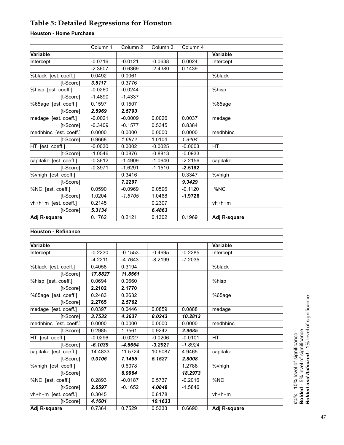# <span id="page-46-0"></span>**Table 5: Detailed Regressions for Houston**

# **Houston - Home Purchase**

|                         | Column 1  | Column <sub>2</sub> | Column 3  | Column 4  |                 |
|-------------------------|-----------|---------------------|-----------|-----------|-----------------|
| Variable                |           |                     |           |           | <b>Variable</b> |
| Intercept               | $-0.0716$ | $-0.0121$           | $-0.0638$ | 0.0024    | Intercept       |
|                         | $-2.3607$ | $-0.6369$           | $-2.4380$ | 0.1439    |                 |
| %black [est. coeff.]    | 0.0492    | 0.0061              |           |           | %black          |
| [t-Score]               | 3.5117    | 0.3776              |           |           |                 |
| %hisp [est. coeff.]     | $-0.0260$ | $-0.0244$           |           |           | %hisp           |
| [t-Score]               | $-1.4890$ | $-1.4337$           |           |           |                 |
| %65age [est. coeff.]    | 0.1597    | 0.1507              |           |           | %65age          |
| [t-Score]               | 2.5969    | 2.5793              |           |           |                 |
| medage [est. coeff.]    | $-0.0021$ | $-0.0009$           | 0.0026    | 0.0037    | medage          |
| [t-Score]               | $-0.3409$ | $-0.1577$           | 0.5345    | 0.8384    |                 |
| medhhinc [est. coeff.]  | 0.0000    | 0.0000              | 0.0000    | 0.0000    | medhhinc        |
| [t-Score]               | 0.9668    | 1.6872              | 1.0104    | 1.9404    |                 |
| HT [est. coeff.]        | $-0.0030$ | 0.0002              | $-0.0025$ | $-0.0003$ | <b>HT</b>       |
| [t-Score]               | $-1.0546$ | 0.0876              | $-0.8813$ | $-0.0933$ |                 |
| capitaliz [est. coeff.] | $-0.3612$ | $-1.4909$           | $-1.0640$ | $-2.2156$ | capitaliz       |
| [t-Score]               | $-0.3971$ | $-1.6291$           | $-1.1510$ | $-2.5192$ |                 |
| %vhigh [est. coeff.]    |           | 0.3416              |           | 0.3347    | %vhigh          |
| [t-Score]               |           | 7.2297              |           | 9.3429    |                 |
| %NC [est. coeff.]       | 0.0590    | $-0.0969$           | 0.0596    | $-0.1120$ | %NC             |
| [t-Score]               | 1.0204    | $-1.6705$           | 1.0468    | -1.9726   |                 |
| vh+h+m [est. coeff.]    | 0.2145    |                     | 0.2307    |           | $vh+h+m$        |
| [t-Score]               | 5.3134    |                     | 6.4863    |           |                 |
| Adj R-square            | 0.1762    | 0.2121              | 0.1302    | 0.1969    | Adj R-square    |

## **Houston - Refinance**

| Variable                |           |           |           |           | Variable     |
|-------------------------|-----------|-----------|-----------|-----------|--------------|
| Intercept               | $-0.2230$ | $-0.1553$ | $-0.4695$ | $-0.2285$ | Intercept    |
|                         | $-4.2211$ | -4.7643   | $-8.2199$ | $-7.2035$ |              |
| %black [est. coeff.]    | 0.4058    | 0.3194    |           |           | %black       |
| [t-Score]               | 17.8827   | 11.8561   |           |           |              |
| %hisp [est. coeff.]     | 0.0694    | 0.0660    |           |           | %hisp        |
| [t-Score]               | 2.2102    | 2.1770    |           |           |              |
| %65age [est. coeff.]    | 0.2483    | 0.2632    |           |           | %65age       |
| [t-Score]               | 2.2765    | 2.5762    |           |           |              |
| medage [est. coeff.]    | 0.0397    | 0.0446    | 0.0859    | 0.0888    | medage       |
| [t-Score]               | 3.7532    | 4.3637    | 8.0243    | 10.2813   |              |
| medhhinc [est. coeff.]  | 0.0000    | 0.0000    | 0.0000    | 0.0000    | medhhinc     |
| [t-Score]               | 0.2985    | 1.3561    | 0.9242    | 2.9685    |              |
| HT [est. coeff.]        | $-0.0296$ | $-0.0227$ | $-0.0206$ | $-0.0101$ | <b>HT</b>    |
| [t-Score]               | $-6.1039$ | $-4.6654$ | $-3.2921$ | $-1.8924$ |              |
| capitaliz [est. coeff.] | 14.4833   | 11.5724   | 10.9087   | 4.9465    | capitaliz    |
| [t-Score]               | 9.0106    | 7.1455    | 5.1527    | 2.8008    |              |
| %vhigh [est. coeff.]    |           | 0.6078    |           | 1.2788    | %vhigh       |
| [t-Score]               |           | 6.9964    |           | 18.2973   |              |
| %NC [est. coeff.]       | 0.2893    | $-0.0187$ | 0.5737    | $-0.2016$ | %NC          |
| [t-Score]               | 2.6597    | $-0.1652$ | 4.0848    | $-1.5846$ |              |
| vh+h+m [est. coeff.]    | 0.3045    |           | 0.8178    |           | $vh+h+m$     |
| [t-Score]               | 4.1601    |           | 10.1633   |           |              |
| Adj R-square            | 0.7364    | 0.7529    | 0.5333    | 0.6690    | Adj R-square |

*Italic* - 10% level of significance<br>**Bolded** - 5% level of significance<br>**Bolded and Italicized** - 1% level of significance *Bolded and Italicized* - 1% level of significance **Bolded** - 5% level of significance

*Italic -* 10% level of significance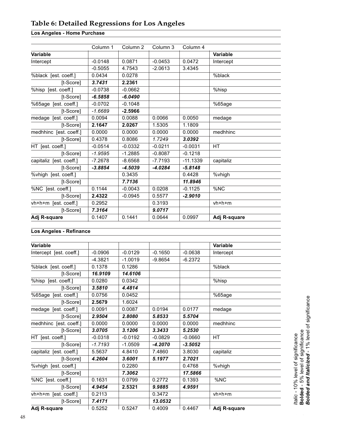# <span id="page-47-0"></span>**Table 6: Detailed Regressions for Los Angeles**

# **Los Angeles - Home Purchase**

|                         | Column 1  | Column <sub>2</sub> | Column 3  | Column 4   |                 |
|-------------------------|-----------|---------------------|-----------|------------|-----------------|
| <b>Variable</b>         |           |                     |           |            | <b>Variable</b> |
| Intercept               | $-0.0148$ | 0.0871              | $-0.0453$ | 0.0472     | Intercept       |
|                         | $-0.5055$ | 4.7543              | $-2.0613$ | 3.4345     |                 |
| %black [est. coeff.]    | 0.0434    | 0.0278              |           |            | %black          |
| [t-Score]               | 3.7431    | 2.2361              |           |            |                 |
| %hisp [est. coeff.]     | $-0.0738$ | $-0.0662$           |           |            | %hisp           |
| [t-Score]               | $-6.5858$ | $-6.0490$           |           |            |                 |
| %65age [est. coeff.]    | $-0.0702$ | $-0.1048$           |           |            | %65age          |
| [t-Score]               | $-1.6689$ | $-2.5966$           |           |            |                 |
| medage [est. coeff.]    | 0.0094    | 0.0088              | 0.0066    | 0.0050     | medage          |
| [t-Score]               | 2.1647    | 2.0267              | 1.5305    | 1.1809     |                 |
| medhhinc [est. coeff.]  | 0.0000    | 0.0000              | 0.0000    | 0.0000     | medhhinc        |
| [t-Score]               | 0.4378    | 0.8086              | 1.7249    | 3.0392     |                 |
| HT [est. coeff.]        | $-0.0514$ | $-0.0332$           | $-0.0211$ | $-0.0031$  | <b>HT</b>       |
| [t-Score]               | $-1.9595$ | $-1.2885$           | $-0.8087$ | $-0.1218$  |                 |
| capitaliz [est. coeff.] | $-7.2678$ | $-8.6568$           | $-7.7193$ | $-11.1339$ | capitaliz       |
| [t-Score]               | $-3.8854$ | $-4.5039$           | $-4.0284$ | $-5.8148$  |                 |
| %vhigh [est. coeff.]    |           | 0.3435              |           | 0.4428     | %vhigh          |
| [t-Score]               |           | 7.7136              |           | 11.8946    |                 |
| %NC [est. coeff.]       | 0.1144    | $-0.0043$           | 0.0208    | $-0.1125$  | %NC             |
| [t-Score]               | 2.4322    | $-0.0945$           | 0.5577    | $-2.9010$  |                 |
| vh+h+m [est. coeff.]    | 0.2952    |                     | 0.3193    |            | $vh+h+m$        |
| [t-Score]               | 7.3164    |                     | 9.0717    |            |                 |
| Adj R-square            | 0.1407    | 0.1441              | 0.0644    | 0.0997     | Adj R-square    |

### **Los Angeles - Refinance**

| Variable                |           |           |           |           | <b>Variable</b> |
|-------------------------|-----------|-----------|-----------|-----------|-----------------|
| Intercept [est. coeff.] | $-0.0906$ | $-0.0129$ | $-0.1650$ | $-0.0638$ | Intercept       |
|                         | $-4.3821$ | $-1.0019$ | $-9.8654$ | $-6.2372$ |                 |
| %black [est. coeff.]    | 0.1378    | 0.1286    |           |           | %black          |
| [t-Score]               | 16.9109   | 14.6106   |           |           |                 |
| %hisp [est. coeff.]     | 0.0280    | 0.0342    |           |           | %hisp           |
| [t-Score]               | 3.5810    | 4.4814    |           |           |                 |
| %65age [est. coeff.]    | 0.0756    | 0.0452    |           |           | %65age          |
| [t-Score]               | 2.5679    | 1.6024    |           |           |                 |
| medage [est. coeff.]    | 0.0091    | 0.0087    | 0.0194    | 0.0177    | medage          |
| [t-Score]               | 2.9504    | 2.8080    | 5.8533    | 5.5704    |                 |
| medhhinc [est. coeff.]  | 0.0000    | 0.0000    | 0.0000    | 0.0000    | medhhinc        |
| [t-Score]               | 3.0705    | 3.1206    | 3.3433    | 5.2530    |                 |
| HT [est. coeff.]        | $-0.0318$ | $-0.0192$ | $-0.0829$ | $-0.0660$ | HТ              |
| [t-Score]               | $-1.7193$ | $-1.0509$ | $-4.2070$ | $-3.5052$ |                 |
| capitaliz [est. coeff.] | 5.5637    | 4.8410    | 7.4860    | 3.8030    | capitaliz       |
| [t-Score]               | 4.2604    | 3.6001    | 5.1977    | 2.7021    |                 |
| %vhigh [est. coeff.]    |           | 0.2280    |           | 0.4768    | %vhigh          |
| [t-Score]               |           | 7.3062    |           | 17.5866   |                 |
| %NC [est. coeff.]       | 0.1631    | 0.0799    | 0.2772    | 0.1393    | %NC             |
| [t-Score]               | 4.9454    | 2.5321    | 9.9885    | 4.9591    |                 |
| vh+h+m [est. coeff.]    | 0.2113    |           | 0.3472    |           | $vh+h+m$        |
| [t-Score]               | 7.4171    |           | 13.0532   |           |                 |
| Adj R-square            | 0.5252    | 0.5247    | 0.4009    | 0.4467    | Adj R-square    |

*Italic* - 10% level of significance<br>**Bolded** - 5% level of significance<br>**Bolded and Italicized** - 1% level of significance *Bolded and Italicized* - 1% level of significance **Bolded** - 5% level of significance *Italic -* 10% level of significance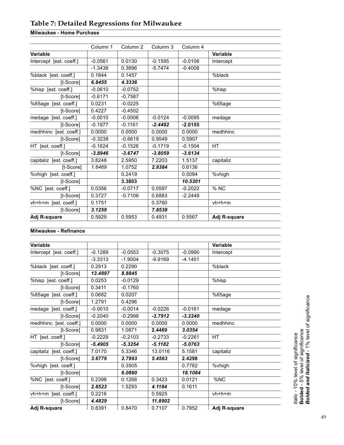# <span id="page-48-0"></span>**Table 7: Detailed Regressions for Milwaukee**

# **Milwaukee - Home Purchase**

|                         | Column 1  | Column 2  | Column 3  | Column 4  |                 |
|-------------------------|-----------|-----------|-----------|-----------|-----------------|
| Variable                |           |           |           |           | <b>Variable</b> |
| Intercept [est. coeff.] | $-0.0561$ | 0.0130    | $-0.1595$ | $-0.0106$ | Intercept       |
|                         | $-1.3438$ | 0.3896    | $-5.7474$ | $-0.4008$ |                 |
| %black [est. coeff.]    | 0.1844    | 0.1457    |           |           | %black          |
| [t-Score]               | 6.8455    | 4.3336    |           |           |                 |
| %hisp [est. coeff.]     | $-0.0610$ | $-0.0752$ |           |           | %hisp           |
| [t-Score]               | $-0.6171$ | $-0.7587$ |           |           |                 |
| %65age [est. coeff.]    | 0.0231    | $-0.0225$ |           |           | %65aqe          |
| [t-Score]               | 0.4227    | $-0.4502$ |           |           |                 |
| medage [est. coeff.]    | $-0.0010$ | $-0.0006$ | $-0.0124$ | $-0.0095$ | medage          |
| [t-Score]               | $-0.1977$ | $-0.1161$ | $-2.4492$ | $-2.0155$ |                 |
| medhhinc [est. coeff.]  | 0.0000    | 0.0000    | 0.0000    | 0.0000    | medhhinc        |
| [t-Score]               | $-0.3238$ | $-0.6619$ | 0.9549    | 0.5907    |                 |
| HT [est. coeff.]        | $-0.1624$ | $-0.1526$ | $-0.1719$ | $-0.1504$ | HT              |
| [t-Score]               | $-3.8946$ | $-3.6747$ | $-3.8059$ | $-3.6134$ |                 |
| capitaliz [est. coeff.] | 3.8248    | 2.5950    | 7.2203    | 1.5137    | capitaliz       |
| [t-Score]               | 1.6469    | 1.0752    | 2.9384    | 0.6136    |                 |
| %vhigh [est. coeff.]    |           | 0.2419    |           | 0.5094    | %vhigh          |
| [t-Score]               |           | 3.3803    |           | 10.5301   |                 |
| %NC [est. coeff.]       | 0.0356    | $-0.0717$ | 0.0597    | $-0.2022$ | % NC            |
| [t-Score]               | 0.3727    | $-0.7106$ | 0.6883    | $-2.2449$ |                 |
| vh+h+m [est. coeff.]    | 0.1751    |           | 0.3760    |           | $vh+h+m$        |
| [t-Score]               | 3.1259    |           | 7.8538    |           |                 |
| Adj R-square            | 0.5929    | 0.5953    | 0.4931    | 0.5567    | Adj R-square    |

## **Milwaukee - Refinance**

| Variable                |           |           |           |           | <b>Variable</b> |
|-------------------------|-----------|-----------|-----------|-----------|-----------------|
| Intercept [est. coeff.] | $-0.1289$ | $-0.0553$ | $-0.3075$ | $-0.0990$ | Intercept       |
|                         | $-3.3313$ | $-1.9004$ | $-9.9169$ | $-4.1451$ |                 |
| %black [est. coeff.]    | 0.2913    | 0.2290    |           |           | %black          |
| [t-Score]               | 13.4897   | 8.8845    |           |           |                 |
| %hisp [est. coeff.]     | 0.0253    | $-0.0129$ |           |           | %hisp           |
| [t-Score]               | 0.3411    | $-0.1760$ |           |           |                 |
| %65age [est. coeff.]    | 0.0682    | 0.0207    |           |           | %65age          |
| [t-Score]               | 1.2791    | 0.4296    |           |           |                 |
| medage [est. coeff.]    | $-0.0010$ | $-0.0014$ | $-0.0226$ | $-0.0161$ | medage          |
| [t-Score]               | $-0.2040$ | $-0.2998$ | $-3.7912$ | $-3.2240$ |                 |
| medhhinc [est. coeff.]  | 0.0000    | 0.0000    | 0.0000    | 0.0000    | medhhinc        |
| [t-Score]               | 0.9831    | 1.0871    | 2.4469    | 3.0354    |                 |
| HT [est. coeff.]        | $-0.2229$ | $-0.2103$ | $-0.2733$ | $-0.2261$ | НT              |
| [t-Score]               | $-5.4905$ | $-5.3254$ | $-5.1182$ | $-5.0763$ |                 |
| capitaliz [est. coeff.] | 7.0170    | 5.3346    | 13.0116   | 5.1581    | capitaliz       |
| [t-Score]               | 3.6779    | 2.7993    | 5.4563    | 2.4298    |                 |
| %vhigh [est. coeff.]    |           | 0.3505    |           | 0.7782    | %vhigh          |
| [t-Score]               |           | 6.0860    |           | 18.1084   |                 |
| %NC [est. coeff.]       | 0.2398    | 0.1268    | 0.3423    | 0.0121    | %NC             |
| [t-Score]               | 2.8523    | 1.5293    | 4.1184    | 0.1611    |                 |
| vh+h+m [est. coeff.]    | 0.2216    |           | 0.5925    |           | $vh+h+m$        |
| [t-Score]               | 4.4829    |           | 11.8902   |           |                 |
| Adj R-square            | 0.8391    | 0.8470    | 0.7107    | 0.7952    | Adj R-square    |

*Italic* - 10% level of significance<br>**Bolded** - 5% level of significance<br>**Bolded and Italicized** - 1% level of significance *Bolded and Italicized* - 1% level of significance **Bolded** - 5% level of significance

*Italic -* 10% level of significance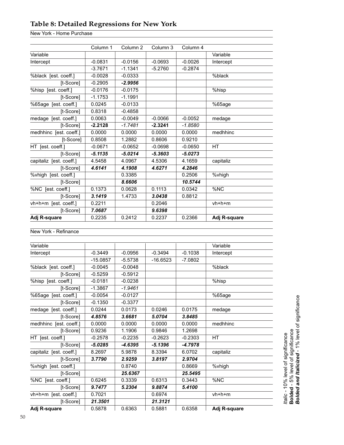# <span id="page-49-0"></span>**Table 8: Detailed Regressions for New York**

New York - Home Purchase

|                         | Column 1  | Column <sub>2</sub> | Column 3  | Column 4  |              |
|-------------------------|-----------|---------------------|-----------|-----------|--------------|
| Variable                |           |                     |           |           | Variable     |
| Intercept               | $-0.0831$ | $-0.0156$           | $-0.0693$ | $-0.0026$ | Intercept    |
|                         | $-3.7671$ | $-1.1341$           | $-5.2760$ | $-0.2874$ |              |
| %black [est. coeff.]    | $-0.0028$ | $-0.0333$           |           |           | %black       |
| [t-Score]               | $-0.2905$ | $-2.9956$           |           |           |              |
| %hisp [est. coeff.]     | $-0.0176$ | $-0.0175$           |           |           | %hisp        |
| [t-Score]               | $-1.1753$ | $-1.1991$           |           |           |              |
| %65age [est. coeff.]    | 0.0245    | $-0.0133$           |           |           | %65age       |
| [t-Score]               | 0.8318    | $-0.4858$           |           |           |              |
| medage [est. coeff.]    | 0.0063    | $-0.0049$           | $-0.0066$ | $-0.0052$ | medage       |
| [t-Score]               | $-2.2128$ | $-1.7481$           | $-2.3241$ | $-1.8580$ |              |
| medhhinc [est. coeff.]  | 0.0000    | 0.0000              | 0.0000    | 0.0000    | medhhinc     |
| [t-Score]               | 0.8508    | 1.2882              | 0.8606    | 0.9210    |              |
| HT [est. coeff.]        | $-0.0671$ | $-0.0652$           | $-0.0698$ | $-0.0650$ | <b>HT</b>    |
| [t-Score]               | $-5.1135$ | $-5.0214$           | $-5.3603$ | $-5.0273$ |              |
| capitaliz [est. coeff.] | 4.5458    | 4.0967              | 4.5306    | 4.1659    | capitaliz    |
| [t-Score]               | 4.6141    | 4.1908              | 4.6271    | 4.2846    |              |
| %vhigh [est. coeff.]    |           | 0.3385              |           | 0.2506    | %vhigh       |
| [t-Score]               |           | 8.6606              |           | 10.5744   |              |
| %NC [est. coeff.]       | 0.1373    | 0.0628              | 0.1113    | 0.0342    | %NC          |
| [t-Score]               | 3.1419    | 1.4733              | 3.0438    | 0.8812    |              |
| vh+h+m [est. coeff.]    | 0.2211    |                     | 0.2046    |           | $vh+h+m$     |
| [t-Score]               | 7.0687    |                     | 9.6398    |           |              |
| Adj R-square            | 0.2235    | 0.2412              | 0.2237    | 0.2366    | Adj R-square |

New York - Refinance

| Variable                |            |           |            |           | Variable     |
|-------------------------|------------|-----------|------------|-----------|--------------|
| Intercept               | $-0.3449$  | $-0.0956$ | $-0.3494$  | $-0.1038$ | Intercept    |
|                         | $-15.0857$ | $-5.5738$ | $-16.6523$ | $-7.0802$ |              |
| %black [est. coeff.]    | $-0.0045$  | $-0.0048$ |            |           | %black       |
| [t-Score]               | $-0.5259$  | $-0.5912$ |            |           |              |
| %hisp [est. coeff.]     | $-0.0181$  | $-0.0238$ |            |           | %hisp        |
| [t-Score]               | $-1.3867$  | $-1.9461$ |            |           |              |
| %65age [est. coeff.]    | $-0.0054$  | $-0.0127$ |            |           | %65age       |
| [t-Score]               | $-0.1350$  | $-0.3377$ |            |           |              |
| medage [est. coeff.]    | 0.0244     | 0.0173    | 0.0246     | 0.0175    | medage       |
| [t-Score]               | 4.8576     | 3.6681    | 5.0704     | 3.8485    |              |
| medhhinc [est. coeff.]  | 0.0000     | 0.0000    | 0.0000     | 0.0000    | medhhinc     |
| [t-Score]               | 0.9236     | 1.1906    | 0.9846     | 1.2698    |              |
| HT [est. coeff.]        | $-0.2578$  | $-0.2235$ | $-0.2623$  | $-0.2303$ | <b>HT</b>    |
| [t-Score]               | $-5.0285$  | $-4.6395$ | $-5.1396$  | $-4.7978$ |              |
| capitaliz [est. coeff.] | 8.2697     | 5.9878    | 8.3394     | 6.0702    | capitaliz    |
| [t-Score]               | 3.7790     | 2.9259    | 3.8197     | 2.9704    |              |
| %vhigh [est. coeff.]    |            | 0.8740    |            | 0.8669    | %vhigh       |
| [t-Score]               |            | 25.6367   |            | 25.5495   |              |
| %NC [est. coeff.]       | 0.6245     | 0.3339    | 0.6313     | 0.3443    | %NC          |
| [t-Score]               | 9.7477     | 5.2304    | 9.8874     | 5.4100    |              |
| vh+h+m [est. coeff.]    | 0.7021     |           | 0.6974     |           | $vh+h+m$     |
| [t-Score]               | 21.3501    |           | 21.3121    |           |              |
| Adj R-square            | 0.5878     | 0.6363    | 0.5881     | 0.6358    | Adj R-square |

*ttalic* - 10% level of significance<br>**Bolded** - 5% level of significance<br>**Bolded and Italicized** - 1% level of significance *Bolded and Italicized* - 1% level of significance**Bolded** - 5% level of significance *Italic -* 10% level of significance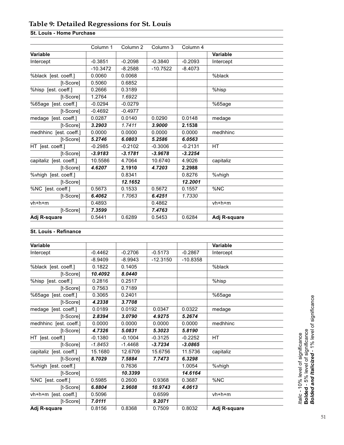# <span id="page-50-0"></span>**Table 9: Detailed Regressions for St. Louis**

# **St. Louis - Home Purchase**

|                         | Column 1   | Column <sub>2</sub> | Column 3   | Column 4  |              |
|-------------------------|------------|---------------------|------------|-----------|--------------|
| Variable                |            |                     |            |           | Variable     |
| Intercept               | $-0.3851$  | $-0.2098$           | $-0.3840$  | $-0.2093$ | Intercept    |
|                         | $-10.3472$ | $-8.2588$           | $-10.7522$ | $-8.4073$ |              |
| %black [est. coeff.]    | 0.0060     | 0.0068              |            |           | %black       |
| [t-Score]               | 0.5060     | 0.6852              |            |           |              |
| %hisp [est. coeff.]     | 0.2666     | 0.3189              |            |           | %hisp        |
| [t-Score]               | 1.2764     | 1.6922              |            |           |              |
| %65age [est. coeff.]    | $-0.0294$  | $-0.0279$           |            |           | %65age       |
| [t-Score]               | $-0.4692$  | $-0.4977$           |            |           |              |
| medage [est. coeff.]    | 0.0287     | 0.0140              | 0.0290     | 0.0148    | medage       |
| [t-Score]               | 3.2903     | 1.7411              | 3.9000     | 2.1538    |              |
| medhhinc [est. coeff.]  | 0.0000     | 0.0000              | 0.0000     | 0.0000    | medhhinc     |
| [t-Score]               | 5.2746     | 6.0803              | 5.2586     | 6.0563    |              |
| HT [est. coeff.]        | $-0.2985$  | $-0.2102$           | $-0.3006$  | $-0.2131$ | <b>HT</b>    |
| [t-Score]               | $-3.9183$  | $-3.1781$           | $-3.9678$  | $-3.2254$ |              |
| capitaliz [est. coeff.] | 10.5586    | 4.7064              | 10.6740    | 4.9026    | capitaliz    |
| [t-Score]               | 4.6207     | 2.1910              | 4.7203     | 2.2988    |              |
| %vhigh [est. coeff.]    |            | 0.8341              |            | 0.8276    | %vhigh       |
| [t-Score]               |            | 12.1652             |            | 12.2001   |              |
| %NC [est. coeff.]       | 0.5673     | 0.1533              | 0.5672     | 0.1557    | %NC          |
| [t-Score]               | 6.4062     | 1.7063              | 6.4251     | 1.7330    |              |
| $vh+h+m$                | 0.4893     |                     | 0.4862     |           | $vh+h+m$     |
| [t-Score]               | 7.3599     |                     | 7.4763     |           |              |
| Adj R-square            | 0.5441     | 0.6289              | 0.5453     | 0.6284    | Adj R-square |

### **St. Louis - Refinance**

| <b>Variable</b>         |           |           |            |            | <b>Variable</b> |  |
|-------------------------|-----------|-----------|------------|------------|-----------------|--|
| Intercept               | $-0.4462$ | $-0.2706$ | $-0.5173$  | $-0.2867$  | Intercept       |  |
|                         | $-8.9409$ | $-8.9943$ | $-12.3150$ | $-10.8358$ |                 |  |
| %black [est. coeff.]    | 0.1822    | 0.1405    |            |            | %black          |  |
| [t-Score]               | 10.4092   | 8.0440    |            |            |                 |  |
| %hisp [est. coeff.]     | 0.2816    | 0.2517    |            |            | %hisp           |  |
| [t-Score]               | 0.7563    | 0.7189    |            |            |                 |  |
| %65age [est. coeff.]    | 0.3065    | 0.2401    |            |            | %65age          |  |
| [t-Score]               | 4.2338    | 3.7708    |            |            |                 |  |
| medage [est. coeff.]    | 0.0189    | 0.0192    | 0.0347     | 0.0322     | medage          |  |
| [t-Score]               | 2.8394    | 3.0790    | 4.9275     | 5.2674     |                 |  |
| medhhinc [est. coeff.]  | 0.0000    | 0.0000    | 0.0000     | 0.0000     | medhhinc        |  |
| [t-Score]               | 4.7326    | 5.0831    | 5.3023     | 5.8190     |                 |  |
| HT [est. coeff.]        | $-0.1380$ | $-0.1004$ | $-0.3125$  | $-0.2252$  | <b>HT</b>       |  |
| [t-Score]               | $-1.8453$ | $-1.4468$ | $-3.7234$  | $-3.0865$  |                 |  |
| capitaliz [est. coeff.] | 15.1680   | 12.6709   | 15.6756    | 11.5736    | capitaliz       |  |
| [t-Score]               | 8.7029    | 7.5884    | 7.7473     | 6.3298     |                 |  |
| %vhigh [est. coeff.]    |           | 0.7636    |            | 1.0054     | %vhigh          |  |
| [t-Score]               |           | 10.3399   |            | 14.6164    |                 |  |
| %NC [est. coeff.]       | 0.5985    | 0.2600    | 0.9368     | 0.3687     | %NC             |  |
| [t-Score]               | 6.8804    | 2.9608    | 10.9743    | 4.0613     |                 |  |
| vh+h+m [est. coeff.]    | 0.5096    |           | 0.6599     |            | $vh+h+m$        |  |
| [t-Score]               | 7.0111    |           | 9.2071     |            |                 |  |
| Adj R-square            | 0.8156    | 0.8368    | 0.7509     | 0.8032     | Adj R-square    |  |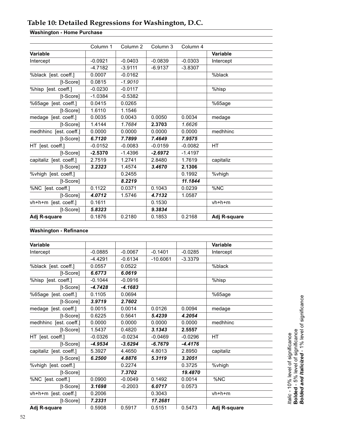# <span id="page-51-0"></span>**Table 10: Detailed Regressions for Washington, D.C.**

# **Washington - Home Purchase**

|                         | Column 1  | Column <sub>2</sub> | Column 3  | Column 4  |                 |
|-------------------------|-----------|---------------------|-----------|-----------|-----------------|
| Variable                |           |                     |           |           | <b>Variable</b> |
| Intercept               | $-0.0921$ | $-0.0403$           | $-0.0839$ | $-0.0303$ | Intercept       |
|                         | $-4.7182$ | $-3.9111$           | $-6.9137$ | $-3.8307$ |                 |
| %black [est. coeff.]    | 0.0007    | $-0.0162$           |           |           | %black          |
| [t-Score]               | 0.0815    | $-1.9010$           |           |           |                 |
| %hisp [est. coeff.]     | $-0.0230$ | $-0.0117$           |           |           | %hisp           |
| [t-Score]               | $-1.0384$ | $-0.5382$           |           |           |                 |
| %65age [est. coeff.]    | 0.0415    | 0.0265              |           |           | %65aqe          |
| [t-Score]               | 1.6110    | 1.1546              |           |           |                 |
| medage [est. coeff.]    | 0.0035    | 0.0043              | 0.0050    | 0.0034    | medage          |
| [t-Score]               | 1.4144    | 1.7684              | 2.3703    | 1.6626    |                 |
| medhhinc [est. coeff.]  | 0.0000    | 0.0000              | 0.0000    | 0.0000    | medhhinc        |
| [t-Score]               | 6.7120    | 7.7899              | 7.4649    | 7.9575    |                 |
| HT [est. coeff.]        | $-0.0152$ | $-0.0083$           | $-0.0159$ | $-0.0082$ | <b>HT</b>       |
| [t-Score]               | $-2.5370$ | $-1.4396$           | $-2.6972$ | $-1.4197$ |                 |
| capitaliz [est. coeff.] | 2.7519    | 1.2741              | 2.8480    | 1.7619    | capitaliz       |
| [t-Score]               | 3.2323    | 1.4574              | 3.4670    | 2.1306    |                 |
| %vhigh [est. coeff.]    |           | 0.2455              |           | 0.1992    | %vhigh          |
| [t-Score]               |           | 8.2219              |           | 11.1844   |                 |
| %NC [est. coeff.]       | 0.1122    | 0.0371              | 0.1043    | 0.0239    | %NC             |
| [t-Score]               | 4.0712    | 1.5746              | 4.7132    | 1.0587    |                 |
| vh+h+m [est. coeff.]    | 0.1611    |                     | 0.1530    |           | $vh+h+m$        |
| [t-Score]               | 5.8323    |                     | 9.3834    |           |                 |
| Adj R-square            | 0.1876    | 0.2180              | 0.1853    | 0.2168    | Adj R-square    |

## **Washington - Refinance**

| Variable                |           |           |            |           | Variable     |
|-------------------------|-----------|-----------|------------|-----------|--------------|
| Intercept               | $-0.0885$ | $-0.0067$ | $-0.1401$  | $-0.0285$ | Intercept    |
|                         | $-4.4291$ | $-0.6134$ | $-10.6061$ | $-3.3379$ |              |
| %black [est. coeff.]    | 0.0557    | 0.0522    |            |           | %black       |
| [t-Score]               | 6.6773    | 6.0619    |            |           |              |
| %hisp [est. coeff.]     | $-0.1044$ | $-0.0916$ |            |           | %hisp        |
| [t-Score]               | $-4.7428$ | $-4.1683$ |            |           |              |
| %65age [est. coeff.]    | 0.1105    | 0.0694    |            |           | %65age       |
| [t-Score]               | 3.9719    | 2.7602    |            |           |              |
| medage [est. coeff.]    | 0.0015    | 0.0014    | 0.0126     | 0.0094    | medage       |
| [t-Score]               | 0.6225    | 0.5641    | 5.4239     | 4.2054    |              |
| medhhinc [est. coeff.]  | 0.0000    | 0.0000    | 0.0000     | 0.0000    | medhhinc     |
| [t-Score]               | 1.5437    | 0.4820    | 3.1343     | 2.5557    |              |
| HT [est. coeff.]        | $-0.0326$ | $-0.0234$ | $-0.0469$  | $-0.0296$ | <b>HT</b>    |
| [t-Score]               | $-4.9534$ | $-3.6294$ | $-6.7679$  | $-4.4176$ |              |
| capitaliz [est. coeff.] | 5.3927    | 4.4650    | 4.8013     | 2.8950    | capitaliz    |
| [t-Score]               | 6.2500    | 4.8876    | 5.3119     | 3.2051    |              |
| %vhigh [est. coeff.]    |           | 0.2274    |            | 0.3725    | %vhigh       |
| [t-Score]               |           | 7.3702    |            | 19.4870   |              |
| %NC [est. coeff.]       | 0.0900    | $-0.0049$ | 0.1492     | 0.0014    | %NC          |
| [t-Score]               | 3.1698    | $-0.2003$ | 6.0717     | 0.0573    |              |
| vh+h+m [est. coeff.]    | 0.2006    |           | 0.3043     |           | $vh+h+m$     |
| [t-Score]               | 7.2331    |           | 17.2681    |           |              |
| Adj R-square            | 0.5908    | 0.5917    | 0.5151     | 0.5473    | Adj R-square |

*Italic* - 10% level of significance<br>**Bolded** - 5% level of significance<br>**Bolded and Italicized** - 1% level of significance *Bolded and Italicized* - 1% level of significance **Bolded** - 5% level of significance *Italic -* 10% level of significance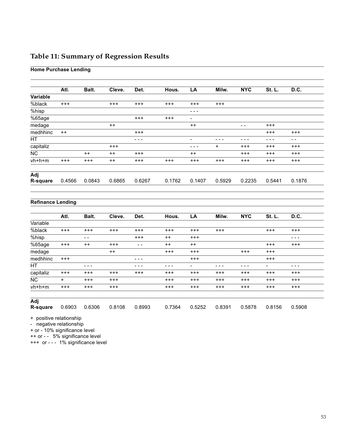# <span id="page-52-0"></span>**Table 11: Summary of Regression Results**

# **Home Purchase Lending**

|           | Atl.     | Balt.    | Cleve.     | Det.     | Hous.      | LA                       | Milw.      | <b>NYC</b> | St. L.     | D.C.       |
|-----------|----------|----------|------------|----------|------------|--------------------------|------------|------------|------------|------------|
| Variable  |          |          |            |          |            |                          |            |            |            |            |
| %black    | $^{+++}$ |          | $^{+++}$   | $^{+++}$ | $^{+++}$   | $^{+++}$                 | $^{++}$    |            |            |            |
| %hisp     |          |          |            |          |            | - - -                    |            |            |            |            |
| %65age    |          |          |            | $^{+++}$ | $^{+ + +}$ | $\overline{\phantom{a}}$ |            |            |            |            |
| medage    |          |          | $^{++}$    |          |            | $^{++}$                  |            | - -        | $^{+++}$   |            |
| medhhinc  | $++$     |          |            | $^{+++}$ |            |                          |            |            | $^{+ + +}$ | $^{+++}$   |
| <b>HT</b> |          |          |            | - - -    |            | $\overline{\phantom{0}}$ |            |            |            | $ -$       |
| capitaliz |          |          | $^{+ + +}$ |          |            | - - -                    | $\ddot{}$  | $^{+++}$   | $^{+ + +}$ | $^{+++}$   |
| <b>NC</b> |          | $^{++}$  | $^{++}$    | $^{+++}$ |            | $^{++}$                  |            | $^{+++}$   | $^{+++}$   | $^{+++}$   |
| vh+h+m    | $^{+++}$ | $^{+++}$ | $^{++}$    | $^{+++}$ | $^{+++}$   | $^{+++}$                 | $^{+ + +}$ | $^{+ + +}$ | $^{+ + +}$ | $^{+ + +}$ |
| Adj       |          |          |            |          |            |                          |            |            |            |            |
| R-square  | 0.4566   | 0.0843   | 0.6865     | 0.6267   | 0.1762     | 0.1407                   | 0.5929     | 0.2235     | 0.5441     | 0.1876     |

### **Refinance Lending**

|           | Atl.       | Balt.    | Cleve.     | Det.       | Hous.      | LA         | Milw.      | <b>NYC</b> | St. L.         | D.C.       |
|-----------|------------|----------|------------|------------|------------|------------|------------|------------|----------------|------------|
| Variable  |            |          |            |            |            |            |            |            |                |            |
| %black    | $^{+++}$   | $^{+++}$ | $^{+++}$   | $^{+++}$   | $^{+++}$   | $^{+ + +}$ | $^{+++}$   |            | $^{+++}$       | $^{+++}$   |
| %hisp     |            | $ -$     |            | $^{+++}$   | $^{++}$    | $^{+++}$   |            |            |                | - - -      |
| %65age    | $^{+++}$   | $++$     | $^{+ + +}$ | $ -$       | $^{++}$    | $^{++}$    |            |            | $^{+++}$       | $^{+++}$   |
| medage    |            |          | $++$       |            | $^{+ + +}$ | $^{+++}$   |            | $^{+++}$   | $^{+++}$       |            |
| medhhinc  | $^{+++}$   |          |            | $  -$      |            | $^{+ + +}$ |            |            | $^{+ + +}$     |            |
| HT.       |            | - - -    |            | - -        |            |            | - -        |            | $\overline{a}$ | - - -      |
| capitaliz | $^{+ + +}$ | $^{+++}$ | $^{+ + +}$ | $^{+ + +}$ | $^{+ + +}$ | $^{+ + +}$ | $^{+ + +}$ | $^{+++}$   | $^{+++}$       | $^{+ + +}$ |
| <b>NC</b> | $\ddot{}$  | $^{+++}$ | $^{+++}$   |            | $^{+ + +}$ | $^{+++}$   | $^{+++}$   | $^{+++}$   | $^{+++}$       | $^{+++}$   |
| $vh+h+m$  | $^{+++}$   | $^{+++}$ | $^{+ + +}$ |            | $^{+++}$   | $^{+++}$   | $^{+ + +}$ | $^{+ + +}$ | $^{+ + +}$     | $^{+++}$   |
|           |            |          |            |            |            |            |            |            |                |            |
| Adj       |            |          |            |            |            |            |            |            |                |            |
| R-square  | 0.6903     | 0.6306   | 0.8108     | 0.8993     | 0.7364     | 0.5252     | 0.8391     | 0.5878     | 0.8156         | 0.5908     |

+ positive relationship

- negative relationship

+ or - 10% significance level

++ or - - 5% significance level

+++ or - - - 1% significance level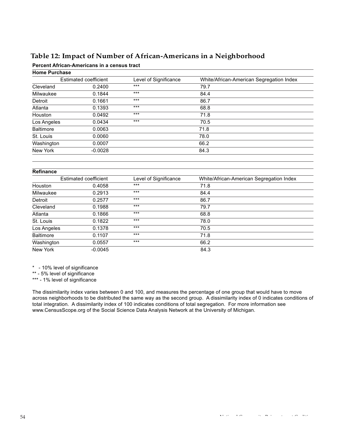# <span id="page-53-0"></span>**Table 12: Impact of Number of African-Americans in a Neighborhood**

#### **Percent African-Americans in a census tract**

| <b>Home Purchase</b>  |           |                       |                                          |
|-----------------------|-----------|-----------------------|------------------------------------------|
| Estimated coefficient |           | Level of Significance | White/African-American Segregation Index |
| Cleveland             | 0.2400    | $***$                 | 79.7                                     |
| Milwaukee             | 0.1844    | $***$                 | 84.4                                     |
| Detroit               | 0.1661    | $***$                 | 86.7                                     |
| Atlanta               | 0.1393    | $***$                 | 68.8                                     |
| Houston               | 0.0492    | $***$                 | 71.8                                     |
| Los Angeles           | 0.0434    | $***$                 | 70.5                                     |
| <b>Baltimore</b>      | 0.0063    |                       | 71.8                                     |
| St. Louis             | 0.0060    |                       | 78.0                                     |
| Washington            | 0.0007    |                       | 66.2                                     |
| New York              | $-0.0028$ |                       | 84.3                                     |

#### **Refinance**

| Estimated coefficient |           | Level of Significance | White/African-American Segregation Index |
|-----------------------|-----------|-----------------------|------------------------------------------|
| Houston               | 0.4058    | $***$                 | 71.8                                     |
| Milwaukee             | 0.2913    | $***$                 | 84.4                                     |
| Detroit               | 0.2577    | $***$                 | 86.7                                     |
| Cleveland             | 0.1988    | $***$                 | 79.7                                     |
| Atlanta               | 0.1866    | $***$                 | 68.8                                     |
| St. Louis             | 0.1822    | $***$                 | 78.0                                     |
| Los Angeles           | 0.1378    | $***$                 | 70.5                                     |
| <b>Baltimore</b>      | 0.1107    | $***$                 | 71.8                                     |
| Washington            | 0.0557    | $***$                 | 66.2                                     |
| New York              | $-0.0045$ |                       | 84.3                                     |
|                       |           |                       |                                          |

\* - 10% level of significance

\*\* - 5% level of significance

\*\*\* - 1% level of significance

The dissimilarity index varies between 0 and 100, and measures the percentage of one group that would have to move across neighborhoods to be distributed the same way as the second group. A dissimilarity index of 0 indicates conditions of total integration. A dissimilarity index of 100 indicates conditions of total segregation. For more information see www.CensusScope.org of the Social Science Data Analysis Network at the University of Michigan.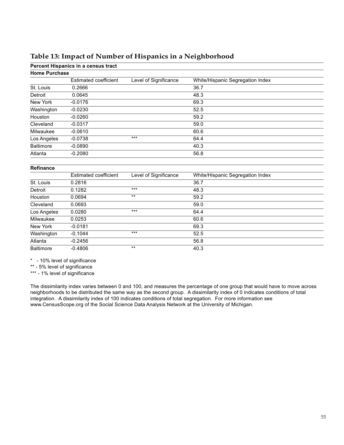# <span id="page-54-0"></span>**Table 13: Impact of Number of Hispanics in a Neighborhood**

**Percent Hispanics in a census tract**

| <b>Home Purchase</b> |                       |                       |                                  |  |  |
|----------------------|-----------------------|-----------------------|----------------------------------|--|--|
|                      | Estimated coefficient | Level of Significance | White/Hispanic Segregation Index |  |  |
| St. Louis            | 0.2666                |                       | 36.7                             |  |  |
| Detroit              | 0.0645                |                       | 48.3                             |  |  |
| New York             | $-0.0176$             |                       | 69.3                             |  |  |
| Washington           | $-0.0230$             |                       | 52.5                             |  |  |
| Houston              | $-0.0260$             |                       | 59.2                             |  |  |
| Cleveland            | $-0.0317$             |                       | 59.0                             |  |  |
| Milwaukee            | $-0.0610$             |                       | 60.6                             |  |  |
| Los Angeles          | $-0.0738$             | $***$                 | 64.4                             |  |  |
| <b>Baltimore</b>     | $-0.0890$             |                       | 40.3                             |  |  |
| Atlanta              | $-0.2080$             |                       | 56.8                             |  |  |
|                      |                       |                       |                                  |  |  |

#### **Refinance**

|                  | Estimated coefficient | Level of Significance | White/Hispanic Segregation Index |  |
|------------------|-----------------------|-----------------------|----------------------------------|--|
| St. Louis        | 0.2816                |                       | 36.7                             |  |
| Detroit          | 0.1282                | $***$                 | 48.3                             |  |
| Houston          | 0.0694                | $***$                 | 59.2                             |  |
| Cleveland        | 0.0693                |                       | 59.0                             |  |
| Los Angeles      | 0.0280                | $***$                 | 64.4                             |  |
| Milwaukee        | 0.0253                |                       | 60.6                             |  |
| New York         | $-0.0181$             |                       | 69.3                             |  |
| Washington       | $-0.1044$             | $***$                 | 52.5                             |  |
| Atlanta          | $-0.2456$             |                       | 56.8                             |  |
| <b>Baltimore</b> | $-0.4806$             | $***$                 | 40.3                             |  |

\* - 10% level of significance

\*\* - 5% level of significance

\*\*\* - 1% level of significance

The dissimilarity index varies between 0 and 100, and measures the percentage of one group that would have to move across neighborhoods to be distributed the same way as the second group. A dissimilarity index of 0 indicates conditions of total integration. A dissimilarity index of 100 indicates conditions of total segregation. For more information see www.CensusScope.org of the Social Science Data Analysis Network at the University of Michigan.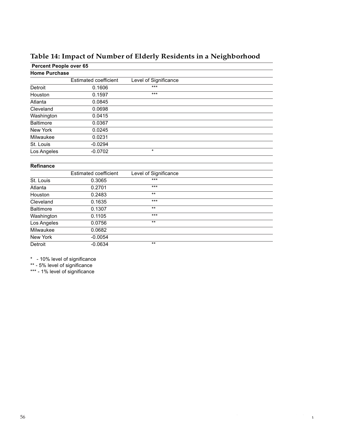<span id="page-55-0"></span>

| Percent People over 65 |                              |                       |  |  |  |  |
|------------------------|------------------------------|-----------------------|--|--|--|--|
| <b>Home Purchase</b>   |                              |                       |  |  |  |  |
|                        | <b>Estimated coefficient</b> | Level of Significance |  |  |  |  |
| Detroit                | 0.1606                       | ***                   |  |  |  |  |
| Houston                | 0.1597                       | $***$                 |  |  |  |  |
| Atlanta                | 0.0845                       |                       |  |  |  |  |
| Cleveland              | 0.0698                       |                       |  |  |  |  |
| Washington             | 0.0415                       |                       |  |  |  |  |
| <b>Baltimore</b>       | 0.0367                       |                       |  |  |  |  |
| New York               | 0.0245                       |                       |  |  |  |  |
| Milwaukee              | 0.0231                       |                       |  |  |  |  |
| St. Louis              | $-0.0294$                    |                       |  |  |  |  |
| Los Angeles            | $-0.0702$                    | $\star$               |  |  |  |  |
| <b>Refinance</b>       |                              |                       |  |  |  |  |
|                        | <b>Estimated coefficient</b> | Level of Significance |  |  |  |  |
| St. Louis              | 0.3065                       | $***$                 |  |  |  |  |
| Atlanta                | 0.2701                       | $***$                 |  |  |  |  |
| Houston                | 0.2483                       | $***$                 |  |  |  |  |
| Cleveland              | 0.1635                       | $***$                 |  |  |  |  |
| <b>Baltimore</b>       | 0.1307                       | $***$                 |  |  |  |  |
| Washington             | 0.1105                       | ***                   |  |  |  |  |
| Los Angeles            | 0.0756                       | $***$                 |  |  |  |  |
| Milwaukee              | 0.0682                       |                       |  |  |  |  |
| New York               | $-0.0054$                    |                       |  |  |  |  |
| Detroit                | $-0.0634$                    | $***$                 |  |  |  |  |

\* - 10% level of significance

\*\* - 5% level of significance

\*\*\* - 1% level of significance